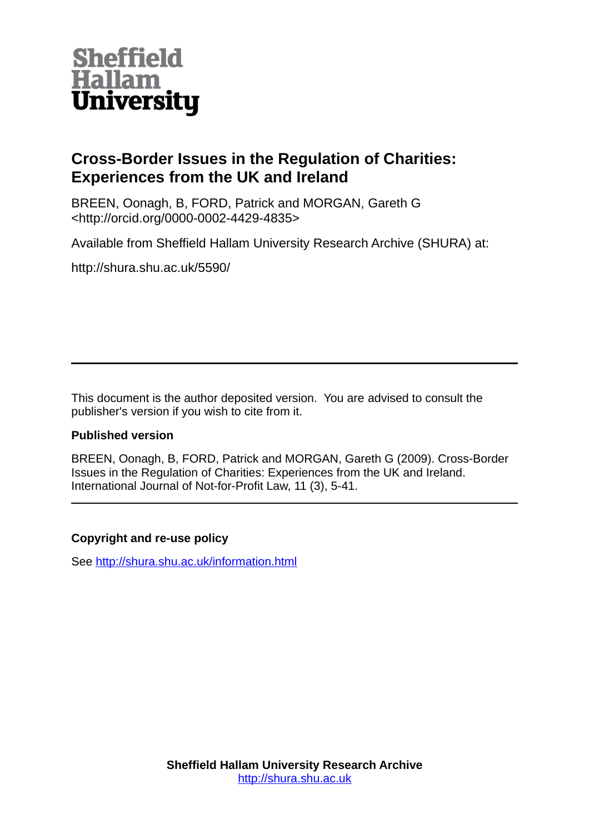

# **Cross-Border Issues in the Regulation of Charities: Experiences from the UK and Ireland**

BREEN, Oonagh, B, FORD, Patrick and MORGAN, Gareth G <http://orcid.org/0000-0002-4429-4835>

Available from Sheffield Hallam University Research Archive (SHURA) at:

http://shura.shu.ac.uk/5590/

This document is the author deposited version. You are advised to consult the publisher's version if you wish to cite from it.

# **Published version**

BREEN, Oonagh, B, FORD, Patrick and MORGAN, Gareth G (2009). Cross-Border Issues in the Regulation of Charities: Experiences from the UK and Ireland. International Journal of Not-for-Profit Law, 11 (3), 5-41.

# **Copyright and re-use policy**

See<http://shura.shu.ac.uk/information.html>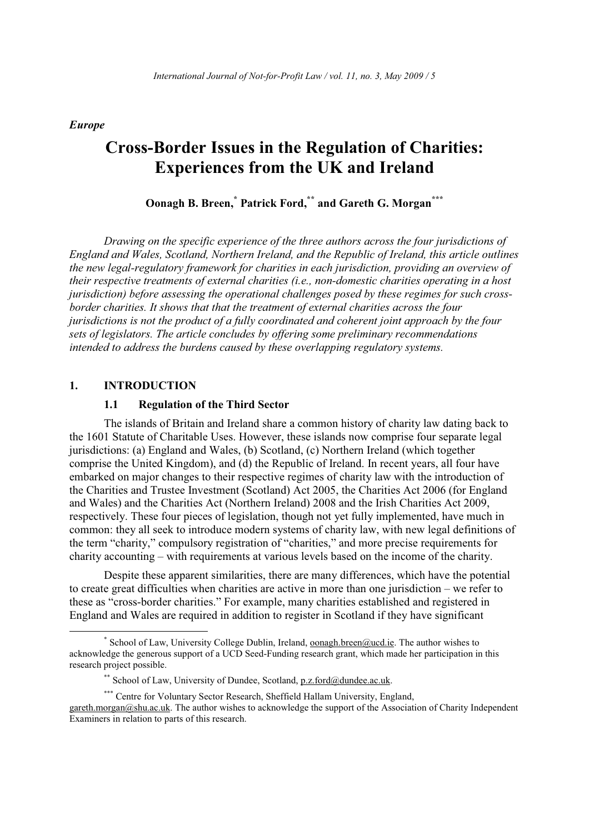**Europe** 

# **Cross-Border Issues in the Regulation of Charities: Experiences from the UK and Ireland**

Oonagh B. Breen,<sup>\*</sup> Patrick Ford,\*\* and Gareth G. Morgan\*\*\*

Drawing on the specific experience of the three authors across the four jurisdictions of England and Wales, Scotland, Northern Ireland, and the Republic of Ireland, this article outlines the new legal-regulatory framework for charities in each jurisdiction, providing an overview of their respective treatments of external charities (i.e., non-domestic charities operating in a host jurisdiction) before assessing the operational challenges posed by these regimes for such crossborder charities. It shows that that the treatment of external charities across the four jurisdictions is not the product of a fully coordinated and coherent joint approach by the four sets of legislators. The article concludes by offering some preliminary recommendations intended to address the burdens caused by these overlapping regulatory systems.

### $\mathbf{1}$ . **INTRODUCTION**

#### $1.1$ **Regulation of the Third Sector**

The islands of Britain and Ireland share a common history of charity law dating back to the 1601 Statute of Charitable Uses. However, these islands now comprise four separate legal jurisdictions: (a) England and Wales, (b) Scotland, (c) Northern Ireland (which together comprise the United Kingdom), and (d) the Republic of Ireland. In recent years, all four have embarked on major changes to their respective regimes of charity law with the introduction of the Charities and Trustee Investment (Scotland) Act 2005, the Charities Act 2006 (for England and Wales) and the Charities Act (Northern Ireland) 2008 and the Irish Charities Act 2009, respectively. These four pieces of legislation, though not yet fully implemented, have much in common: they all seek to introduce modern systems of charity law, with new legal definitions of the term "charity," compulsory registration of "charities," and more precise requirements for charity accounting – with requirements at various levels based on the income of the charity.

Despite these apparent similarities, there are many differences, which have the potential to create great difficulties when charities are active in more than one jurisdiction  $-$  we refer to these as "cross-border charities." For example, many charities established and registered in England and Wales are required in addition to register in Scotland if they have significant

<sup>\*</sup> School of Law, University College Dublin, Ireland, oonagh.breen@ucd.ie. The author wishes to acknowledge the generous support of a UCD Seed-Funding research grant, which made her participation in this research project possible.

<sup>\*\*</sup> School of Law, University of Dundee, Scotland, p.z.ford@dundee.ac.uk.

<sup>\*\*\*</sup> Centre for Voluntary Sector Research, Sheffield Hallam University, England,

gareth.morgan@shu.ac.uk. The author wishes to acknowledge the support of the Association of Charity Independent Examiners in relation to parts of this research.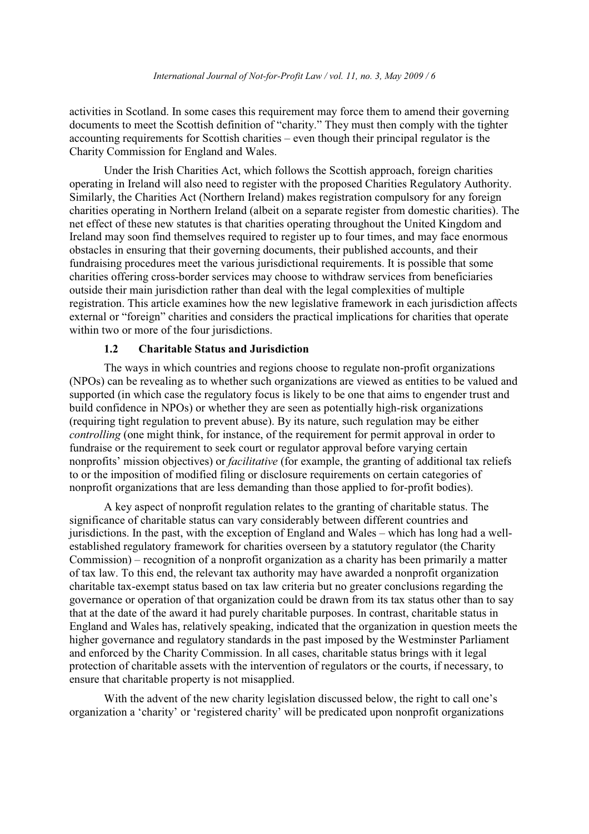activities in Scotland. In some cases this requirement may force them to amend their governing documents to meet the Scottish definition of "charity." They must then comply with the tighter accounting requirements for Scottish charities – even though their principal regulator is the Charity Commission for England and Wales.

Under the Irish Charities Act, which follows the Scottish approach, foreign charities operating in Ireland will also need to register with the proposed Charities Regulatory Authority. Similarly, the Charities Act (Northern Ireland) makes registration compulsory for any foreign charities operating in Northern Ireland (albeit on a separate register from domestic charities). The net effect of these new statutes is that charities operating throughout the United Kingdom and Ireland may soon find themselves required to register up to four times, and may face enormous obstacles in ensuring that their governing documents, their published accounts, and their fundraising procedures meet the various jurisdictional requirements. It is possible that some charities offering cross-border services may choose to withdraw services from beneficiaries outside their main jurisdiction rather than deal with the legal complexities of multiple registration. This article examines how the new legislative framework in each jurisdiction affects external or "foreign" charities and considers the practical implications for charities that operate within two or more of the four jurisdictions.

#### $1.2$ **Charitable Status and Jurisdiction**

The ways in which countries and regions choose to regulate non-profit organizations (NPOs) can be revealing as to whether such organizations are viewed as entities to be valued and supported (in which case the regulatory focus is likely to be one that aims to engender trust and build confidence in NPOs) or whether they are seen as potentially high-risk organizations (requiring tight regulation to prevent abuse). By its nature, such regulation may be either *controlling* (one might think, for instance, of the requirement for permit approval in order to fundraise or the requirement to seek court or regulator approval before varying certain nonprofits' mission objectives) or *facilitative* (for example, the granting of additional tax reliefs to or the imposition of modified filing or disclosure requirements on certain categories of nonprofit organizations that are less demanding than those applied to for-profit bodies).

A key aspect of nonprofit regulation relates to the granting of charitable status. The significance of charitable status can vary considerably between different countries and jurisdictions. In the past, with the exception of England and Wales – which has long had a wellestablished regulatory framework for charities overseen by a statutory regulator (the Charity Commission) – recognition of a nonprofit organization as a charity has been primarily a matter of tax law. To this end, the relevant tax authority may have awarded a nonprofit organization charitable tax-exempt status based on tax law criteria but no greater conclusions regarding the governance or operation of that organization could be drawn from its tax status other than to say that at the date of the award it had purely charitable purposes. In contrast, charitable status in England and Wales has, relatively speaking, indicated that the organization in question meets the higher governance and regulatory standards in the past imposed by the Westminster Parliament and enforced by the Charity Commission. In all cases, charitable status brings with it legal protection of charitable assets with the intervention of regulators or the courts, if necessary, to ensure that charitable property is not misapplied.

With the advent of the new charity legislation discussed below, the right to call one's organization a 'charity' or 'registered charity' will be predicated upon nonprofit organizations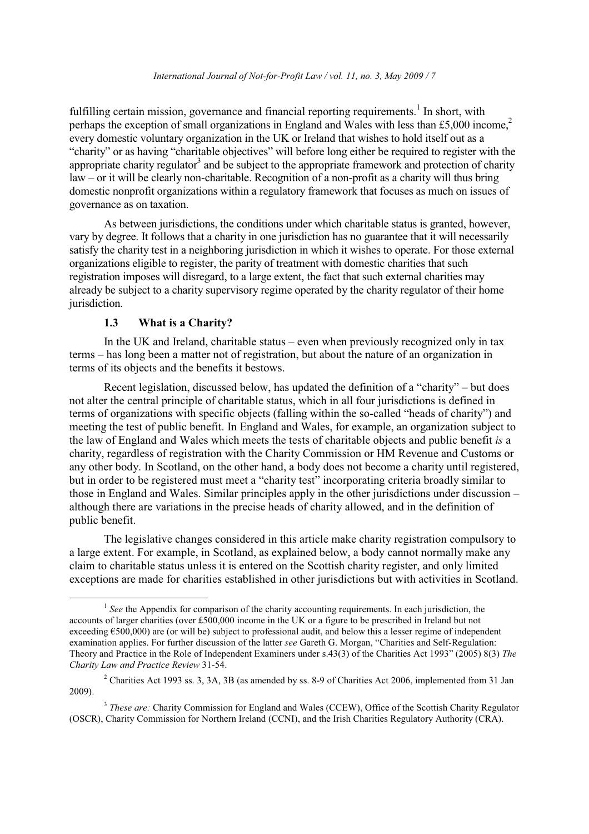fulfilling certain mission, governance and financial reporting requirements.<sup>1</sup> In short, with perhaps the exception of small organizations in England and Wales with less than £5,000 income,<sup>2</sup> every domestic voluntary organization in the UK or Ireland that wishes to hold itself out as a "charity" or as having "charitable objectives" will before long either be required to register with the appropriate charity regulator<sup>3</sup> and be subject to the appropriate framework and protection of charity  $law - or it will be clearly non-characterization of a non-profit as a charity will thus bring$ domestic nonprofit organizations within a regulatory framework that focuses as much on issues of governance as on taxation.

As between jurisdictions, the conditions under which charitable status is granted, however. vary by degree. It follows that a charity in one jurisdiction has no guarantee that it will necessarily satisfy the charity test in a neighboring jurisdiction in which it wishes to operate. For those external organizations eligible to register, the parity of treatment with domestic charities that such registration imposes will disregard, to a large extent, the fact that such external charities may already be subject to a charity supervisory regime operated by the charity regulator of their home jurisdiction.

#### $1.3$ What is a Charity?

In the UK and Ireland, charitable status – even when previously recognized only in tax terms – has long been a matter not of registration, but about the nature of an organization in terms of its objects and the benefits it bestows.

Recent legislation, discussed below, has updated the definition of a "charity" – but does not alter the central principle of charitable status, which in all four jurisdictions is defined in terms of organizations with specific objects (falling within the so-called "heads of charity") and meeting the test of public benefit. In England and Wales, for example, an organization subject to the law of England and Wales which meets the tests of charitable objects and public benefit is a charity, regardless of registration with the Charity Commission or HM Revenue and Customs or any other body. In Scotland, on the other hand, a body does not become a charity until registered, but in order to be registered must meet a "charity test" incorporating criteria broadly similar to those in England and Wales. Similar principles apply in the other jurisdictions under discussion – although there are variations in the precise heads of charity allowed, and in the definition of public benefit.

The legislative changes considered in this article make charity registration compulsory to a large extent. For example, in Scotland, as explained below, a body cannot normally make any claim to charitable status unless it is entered on the Scottish charity register, and only limited exceptions are made for charities established in other jurisdictions but with activities in Scotland.

 $\frac{1}{2}$  See the Appendix for comparison of the charity accounting requirements. In each jurisdiction, the accounts of larger charities (over £500,000 income in the UK or a figure to be prescribed in Ireland but not exceeding  $\epsilon$ 500,000) are (or will be) subject to professional audit, and below this a lesser regime of independent examination applies. For further discussion of the latter see Gareth G. Morgan, "Charities and Self-Regulation: Theory and Practice in the Role of Independent Examiners under s.43(3) of the Charities Act 1993" (2005) 8(3) The Charity Law and Practice Review 31-54.

<sup>&</sup>lt;sup>2</sup> Charities Act 1993 ss. 3, 3A, 3B (as amended by ss. 8-9 of Charities Act 2006, implemented from 31 Jan  $2009$ ).

<sup>&</sup>lt;sup>3</sup> These are: Charity Commission for England and Wales (CCEW), Office of the Scottish Charity Regulator (OSCR), Charity Commission for Northern Ireland (CCNI), and the Irish Charities Regulatory Authority (CRA).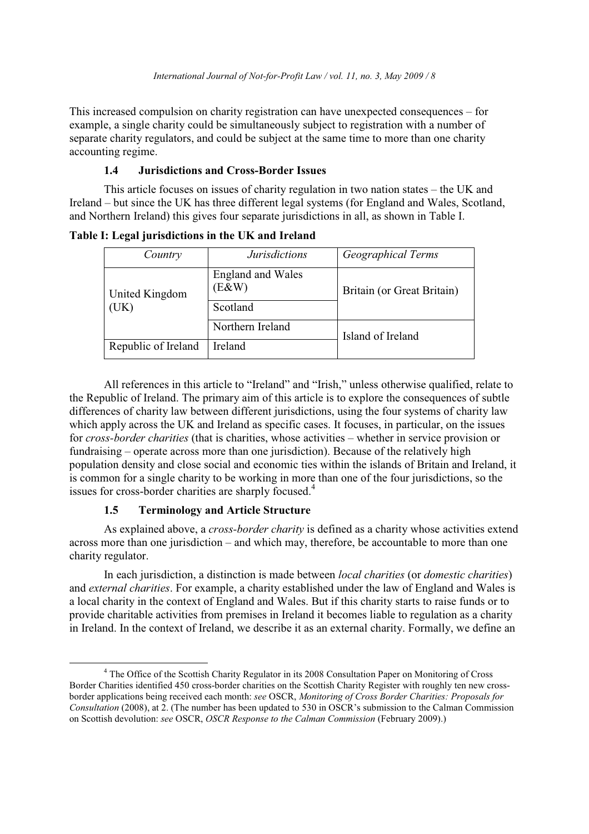This increased compulsion on charity registration can have unexpected consequences – for example, a single charity could be simultaneously subject to registration with a number of separate charity regulators, and could be subject at the same time to more than one charity accounting regime.

### $1.4$ **Jurisdictions and Cross-Border Issues**

This article focuses on issues of charity regulation in two nation states – the UK and Ireland – but since the UK has three different legal systems (for England and Wales, Scotland, and Northern Ireland) this gives four separate jurisdictions in all, as shown in Table I.

| Country               | <b>Jurisdictions</b>              | Geographical Terms         |  |
|-----------------------|-----------------------------------|----------------------------|--|
| United Kingdom<br>UK) | <b>England and Wales</b><br>(E&W) | Britain (or Great Britain) |  |
|                       | Scotland                          |                            |  |
|                       | Northern Ireland                  | Island of Ireland          |  |
| Republic of Ireland   | Ireland                           |                            |  |

Table I: Legal jurisdictions in the UK and Ireland

All references in this article to "Ireland" and "Irish," unless otherwise qualified, relate to the Republic of Ireland. The primary aim of this article is to explore the consequences of subtle differences of charity law between different jurisdictions, using the four systems of charity law which apply across the UK and Ireland as specific cases. It focuses, in particular, on the issues for cross-border charities (that is charities, whose activities – whether in service provision or fundraising – operate across more than one jurisdiction). Because of the relatively high population density and close social and economic ties within the islands of Britain and Ireland, it is common for a single charity to be working in more than one of the four jurisdictions, so the issues for cross-border charities are sharply focused.<sup>4</sup>

#### $1.5$ **Terminology and Article Structure**

As explained above, a *cross-border charity* is defined as a charity whose activities extend across more than one jurisdiction – and which may, therefore, be accountable to more than one charity regulator.

In each jurisdiction, a distinction is made between *local charities* (or *domestic charities*) and external charities. For example, a charity established under the law of England and Wales is a local charity in the context of England and Wales. But if this charity starts to raise funds or to provide charitable activities from premises in Ireland it becomes liable to regulation as a charity in Ireland. In the context of Ireland, we describe it as an external charity. Formally, we define an

<sup>&</sup>lt;sup>4</sup> The Office of the Scottish Charity Regulator in its 2008 Consultation Paper on Monitoring of Cross Border Charities identified 450 cross-border charities on the Scottish Charity Register with roughly ten new crossborder applications being received each month: see OSCR, Monitoring of Cross Border Charities: Proposals for Consultation (2008), at 2. (The number has been updated to 530 in OSCR's submission to the Calman Commission on Scottish devolution: see OSCR, OSCR Response to the Calman Commission (February 2009).)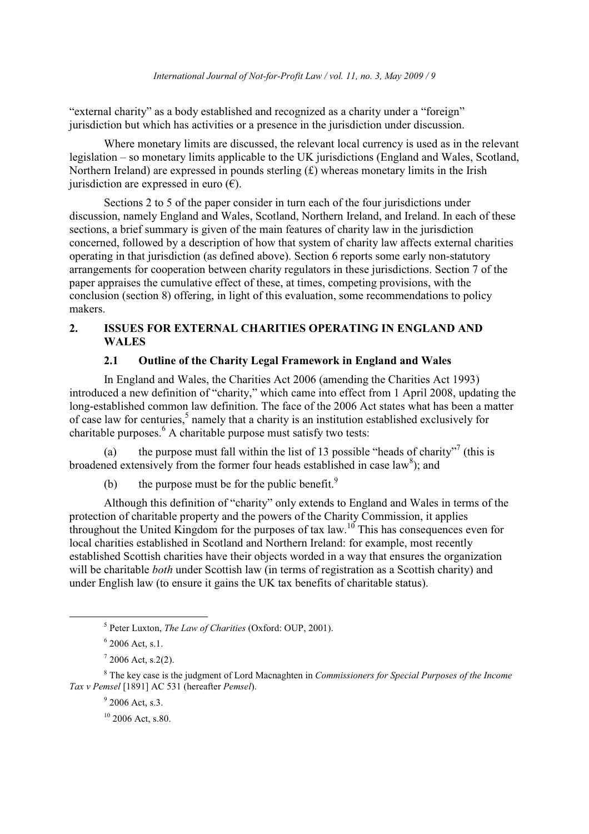"external charity" as a body established and recognized as a charity under a "foreign" jurisdiction but which has activities or a presence in the jurisdiction under discussion.

Where monetary limits are discussed, the relevant local currency is used as in the relevant legislation – so monetary limits applicable to the UK jurisdictions (England and Wales, Scotland, Northern Ireland) are expressed in pounds sterling  $(f)$  whereas monetary limits in the Irish jurisdiction are expressed in euro  $(\epsilon)$ .

Sections 2 to 5 of the paper consider in turn each of the four jurisdictions under discussion, namely England and Wales, Scotland, Northern Ireland, and Ireland. In each of these sections, a brief summary is given of the main features of charity law in the jurisdiction concerned, followed by a description of how that system of charity law affects external charities operating in that jurisdiction (as defined above). Section 6 reports some early non-statutory arrangements for cooperation between charity regulators in these jurisdictions. Section 7 of the paper appraises the cumulative effect of these, at times, competing provisions, with the conclusion (section 8) offering, in light of this evaluation, some recommendations to policy makers.

### $2.$ **ISSUES FOR EXTERNAL CHARITIES OPERATING IN ENGLAND AND WALES**

### $2.1$ Outline of the Charity Legal Framework in England and Wales

In England and Wales, the Charities Act 2006 (amending the Charities Act 1993) introduced a new definition of "charity," which came into effect from 1 April 2008, updating the long-established common law definition. The face of the 2006 Act states what has been a matter of case law for centuries,<sup>5</sup> namely that a charity is an institution established exclusively for charitable purposes. <sup>6</sup> A charitable purpose must satisfy two tests:

the purpose must fall within the list of 13 possible "heads of charity"<sup>7</sup> (this is (a) broadened extensively from the former four heads established in case law<sup>8</sup>); and

the purpose must be for the public benefit.<sup>9</sup>  $(b)$ 

Although this definition of "charity" only extends to England and Wales in terms of the protection of charitable property and the powers of the Charity Commission, it applies throughout the United Kingdom for the purposes of tax law.<sup>10</sup> This has consequences even for local charities established in Scotland and Northern Ireland: for example, most recently established Scottish charities have their objects worded in a way that ensures the organization will be charitable *both* under Scottish law (in terms of registration as a Scottish charity) and under English law (to ensure it gains the UK tax benefits of charitable status).

<sup>&</sup>lt;sup>5</sup> Peter Luxton, *The Law of Charities* (Oxford: OUP, 2001).

 $6$  2006 Act, s.1.

 $12006$  Act. s.2(2).

<sup>&</sup>lt;sup>8</sup> The key case is the judgment of Lord Macnaghten in *Commissioners for Special Purposes of the Income* Tax v Pemsel [1891] AC 531 (hereafter Pemsel).

 $92006$  Act. s.3.

 $10$  2006 Act, s.80.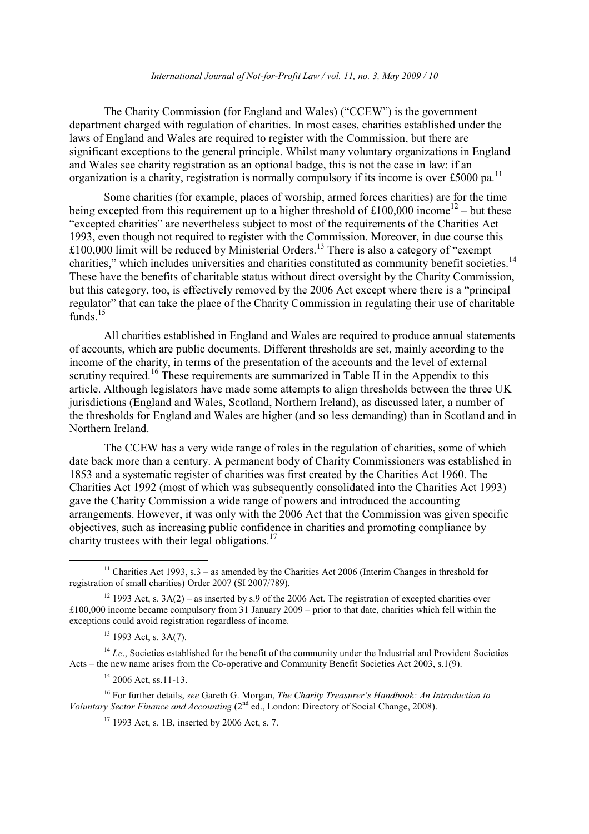### International Journal of Not-for-Profit Law / vol. 11, no. 3, May  $2009/10$

The Charity Commission (for England and Wales) ("CCEW") is the government department charged with regulation of charities. In most cases, charities established under the laws of England and Wales are required to register with the Commission, but there are significant exceptions to the general principle. Whilst many voluntary organizations in England and Wales see charity registration as an optional badge, this is not the case in law: if an organization is a charity, registration is normally compulsory if its income is over £5000 pa.<sup>11</sup>

Some charities (for example, places of worship, armed forces charities) are for the time being excepted from this requirement up to a higher threshold of £100,000 income<sup>12</sup> – but these "excepted charities" are nevertheless subject to most of the requirements of the Charities Act 1993, even though not required to register with the Commission. Moreover, in due course this £100,000 limit will be reduced by Ministerial Orders.<sup>13</sup> There is also a category of "exempt" charities," which includes universities and charities constituted as community benefit societies.<sup>14</sup> These have the benefits of charitable status without direct oversight by the Charity Commission, but this category, too, is effectively removed by the 2006 Act except where there is a "principal" regulator" that can take the place of the Charity Commission in regulating their use of charitable funds. $15$ 

All charities established in England and Wales are required to produce annual statements of accounts, which are public documents. Different thresholds are set, mainly according to the income of the charity, in terms of the presentation of the accounts and the level of external scrutiny required.<sup>16</sup> These requirements are summarized in Table II in the Appendix to this article. Although legislators have made some attempts to align thresholds between the three UK jurisdictions (England and Wales, Scotland, Northern Ireland), as discussed later, a number of the thresholds for England and Wales are higher (and so less demanding) than in Scotland and in Northern Ireland.

The CCEW has a very wide range of roles in the regulation of charities, some of which date back more than a century. A permanent body of Charity Commissioners was established in 1853 and a systematic register of charities was first created by the Charities Act 1960. The Charities Act 1992 (most of which was subsequently consolidated into the Charities Act 1993) gave the Charity Commission a wide range of powers and introduced the accounting arrangements. However, it was only with the 2006 Act that the Commission was given specific objectives, such as increasing public confidence in charities and promoting compliance by charity trustees with their legal obligations.<sup>17</sup>

 $^{14}$  *I.e.*, Societies established for the benefit of the community under the Industrial and Provident Societies Acts – the new name arises from the Co-operative and Community Benefit Societies Act 2003, s.1(9).

<sup>&</sup>lt;sup>11</sup> Charities Act 1993, s.3 – as amended by the Charities Act 2006 (Interim Changes in threshold for registration of small charities) Order 2007 (SI 2007/789).

<sup>&</sup>lt;sup>12</sup> 1993 Act, s.  $3A(2)$  – as inserted by s.9 of the 2006 Act. The registration of excepted charities over £100,000 income became compulsory from 31 January 2009 – prior to that date, charities which fell within the exceptions could avoid registration regardless of income.

 $13$  1993 Act. s. 3A(7).

 $15$  2006 Act, ss, 11-13.

<sup>&</sup>lt;sup>16</sup> For further details, see Gareth G. Morgan, *The Charity Treasurer's Handbook: An Introduction to* Voluntary Sector Finance and Accounting  $(2<sup>nd</sup>$  ed., London: Directory of Social Change, 2008).

 $17$  1993 Act. s. 1B, inserted by 2006 Act. s. 7.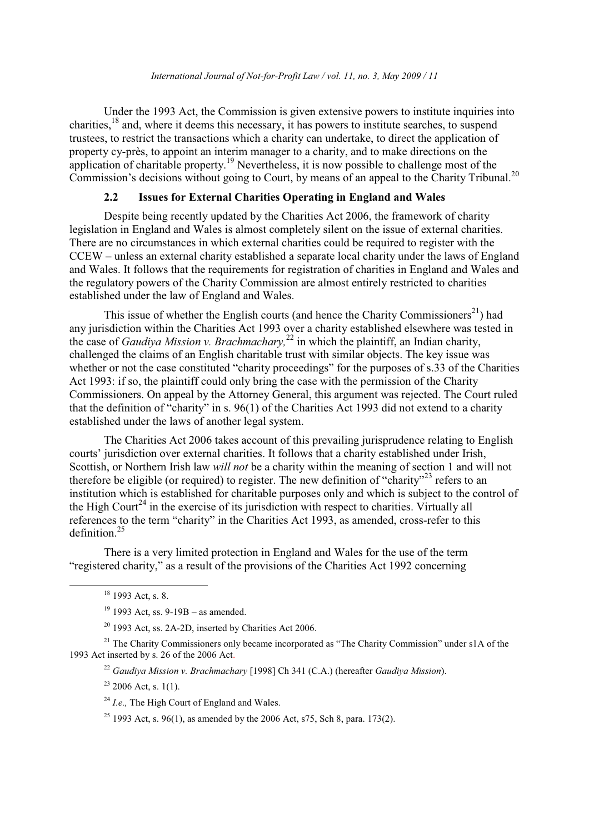Under the 1993 Act, the Commission is given extensive powers to institute inquiries into charities,<sup>18</sup> and, where it deems this necessary, it has powers to institute searches, to suspend trustees, to restrict the transactions which a charity can undertake, to direct the application of property cy-près, to appoint an interim manager to a charity, and to make directions on the application of charitable property.<sup>19</sup> Nevertheless, it is now possible to challenge most of the Commission's decisions without going to Court, by means of an appeal to the Charity Tribunal.<sup>20</sup>

#### $2.2$ **Issues for External Charities Operating in England and Wales**

Despite being recently updated by the Charities Act 2006, the framework of charity legislation in England and Wales is almost completely silent on the issue of external charities. There are no circumstances in which external charities could be required to register with the CCEW – unless an external charity established a separate local charity under the laws of England and Wales. It follows that the requirements for registration of charities in England and Wales and the regulatory powers of the Charity Commission are almost entirely restricted to charities established under the law of England and Wales.

This issue of whether the English courts (and hence the Charity Commissioners<sup>21</sup>) had any jurisdiction within the Charities Act 1993 over a charity established elsewhere was tested in the case of *Gaudiva Mission v. Brachmachary*,<sup>22</sup> in which the plaintiff, an Indian charity, challenged the claims of an English charitable trust with similar objects. The key issue was whether or not the case constituted "charity proceedings" for the purposes of s.33 of the Charities Act 1993: if so, the plaintiff could only bring the case with the permission of the Charity Commissioners. On appeal by the Attorney General, this argument was rejected. The Court ruled that the definition of "charity" in s. 96(1) of the Charities Act 1993 did not extend to a charity established under the laws of another legal system.

The Charities Act 2006 takes account of this prevailing jurisprudence relating to English courts' jurisdiction over external charities. It follows that a charity established under Irish, Scottish, or Northern Irish law will not be a charity within the meaning of section 1 and will not therefore be eligible (or required) to register. The new definition of "charity"<sup>23</sup> refers to an institution which is established for charitable purposes only and which is subject to the control of the High Court<sup>24</sup> in the exercise of its jurisdiction with respect to charities. Virtually all references to the term "charity" in the Charities Act 1993, as amended, cross-refer to this definition. $25$ 

There is a very limited protection in England and Wales for the use of the term "registered charity," as a result of the provisions of the Charities Act 1992 concerning

 $18$  1993 Act. s. 8.

 $19$  1993 Act, ss. 9-19B – as amended.

 $20$  1993 Act, ss. 2A-2D, inserted by Charities Act 2006.

<sup>&</sup>lt;sup>21</sup> The Charity Commissioners only became incorporated as "The Charity Commission" under s1A of the 1993 Act inserted by s. 26 of the 2006 Act.

<sup>&</sup>lt;sup>22</sup> Gaudiva Mission v. Brachmachary [1998] Ch 341 (C.A.) (hereafter Gaudiya Mission).

 $23$  2006 Act, s. 1(1).

 $^{24}$  *I.e.*, The High Court of England and Wales.

<sup>&</sup>lt;sup>25</sup> 1993 Act, s. 96(1), as amended by the 2006 Act, s75, Sch 8, para. 173(2).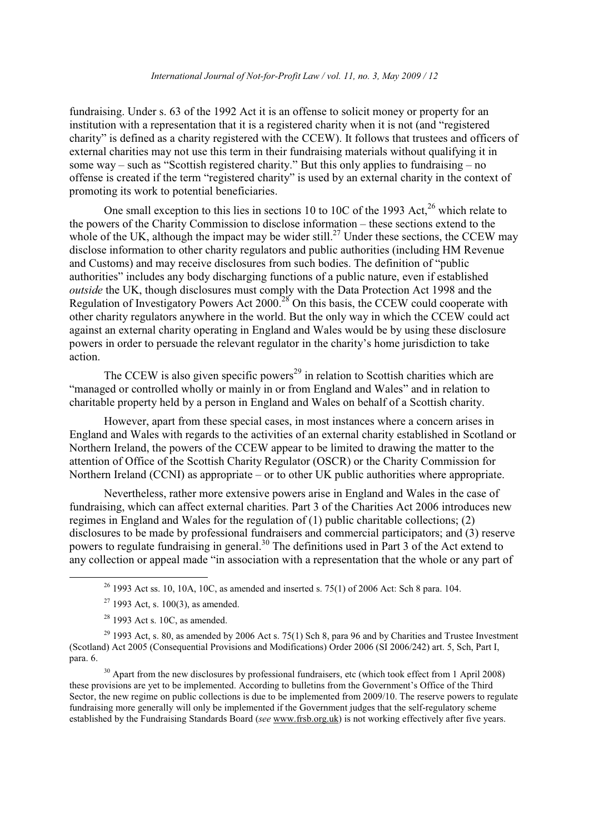fundraising. Under s. 63 of the 1992 Act it is an offense to solicit money or property for an institution with a representation that it is a registered charity when it is not (and "registered charity" is defined as a charity registered with the CCEW). It follows that trustees and officers of external charities may not use this term in their fundraising materials without qualifying it in some way – such as "Scottish registered charity." But this only applies to fundraising – no offense is created if the term "registered charity" is used by an external charity in the context of promoting its work to potential beneficiaries.

One small exception to this lies in sections 10 to 10C of the 1993 Act.<sup>26</sup> which relate to the powers of the Charity Commission to disclose information – these sections extend to the whole of the UK, although the impact may be wider still.<sup>27</sup> Under these sections, the CCEW may disclose information to other charity regulators and public authorities (including HM Revenue) and Customs) and may receive disclosures from such bodies. The definition of "public authorities" includes any body discharging functions of a public nature, even if established outside the UK, though disclosures must comply with the Data Protection Act 1998 and the Regulation of Investigatory Powers Act 2000.<sup>28</sup> On this basis, the CCEW could cooperate with other charity regulators anywhere in the world. But the only way in which the CCEW could act against an external charity operating in England and Wales would be by using these disclosure powers in order to persuade the relevant regulator in the charity's home jurisdiction to take action.

The CCEW is also given specific powers<sup>29</sup> in relation to Scottish charities which are "managed or controlled wholly or mainly in or from England and Wales" and in relation to charitable property held by a person in England and Wales on behalf of a Scottish charity.

However, apart from these special cases, in most instances where a concern arises in England and Wales with regards to the activities of an external charity established in Scotland or Northern Ireland, the powers of the CCEW appear to be limited to drawing the matter to the attention of Office of the Scottish Charity Regulator (OSCR) or the Charity Commission for Northern Ireland (CCNI) as appropriate – or to other UK public authorities where appropriate.

Nevertheless, rather more extensive powers arise in England and Wales in the case of fundraising, which can affect external charities. Part 3 of the Charities Act 2006 introduces new regimes in England and Wales for the regulation of  $(1)$  public charitable collections:  $(2)$ disclosures to be made by professional fundraisers and commercial participators; and (3) reserve powers to regulate fundraising in general.<sup>30</sup> The definitions used in Part 3 of the Act extend to any collection or appeal made "in association with a representation that the whole or any part of

 $30$  Apart from the new disclosures by professional fundraisers, etc (which took effect from 1 April 2008) these provisions are yet to be implemented. According to bulletins from the Government's Office of the Third Sector, the new regime on public collections is due to be implemented from 2009/10. The reserve powers to regulate fundraising more generally will only be implemented if the Government judges that the self-regulatory scheme established by the Fundraising Standards Board (see www.frsb.org.uk) is not working effectively after five years.

 $^{26}$  1993 Act ss. 10, 10A, 10C, as amended and inserted s. 75(1) of 2006 Act: Sch 8 para. 104.

 $27$  1993 Act, s. 100(3), as amended.

 $28$  1993 Act s. 10C, as amended.

 $^{29}$  1993 Act, s. 80, as amended by 2006 Act s. 75(1) Sch 8, para 96 and by Charities and Trustee Investment (Scotland) Act 2005 (Consequential Provisions and Modifications) Order 2006 (SI 2006/242) art. 5, Sch, Part I, para. 6.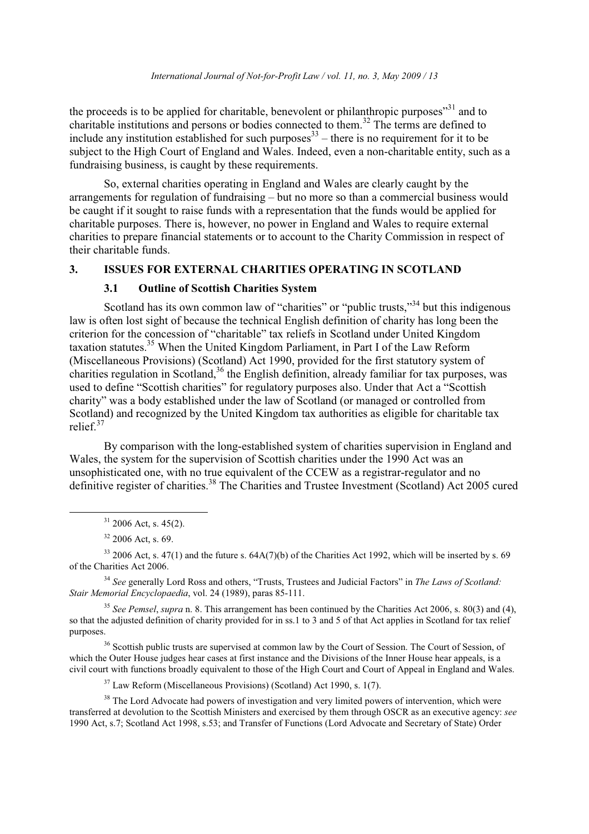the proceeds is to be applied for charitable, benevolent or philanthropic purposes<sup>31</sup> and to charitable institutions and persons or bodies connected to them.<sup>32</sup> The terms are defined to include any institution established for such purposes  $33$  – there is no requirement for it to be subject to the High Court of England and Wales. Indeed, even a non-charitable entity, such as a fundraising business, is caught by these requirements.

So, external charities operating in England and Wales are clearly caught by the arrangements for regulation of fundraising  $-$  but no more so than a commercial business would be caught if it sought to raise funds with a representation that the funds would be applied for charitable purposes. There is, however, no power in England and Wales to require external charities to prepare financial statements or to account to the Charity Commission in respect of their charitable funds.

### **ISSUES FOR EXTERNAL CHARITIES OPERATING IN SCOTLAND**  $\overline{3}$ .

#### $3.1$ **Outline of Scottish Charities System**

Scotland has its own common law of "charities" or "public trusts,"<sup>34</sup> but this indigenous law is often lost sight of because the technical English definition of charity has long been the criterion for the concession of "charitable" tax reliefs in Scotland under United Kingdom taxation statutes.<sup>35</sup> When the United Kingdom Parliament, in Part I of the Law Reform (Miscellaneous Provisions) (Scotland) Act 1990, provided for the first statutory system of charities regulation in Scotland,<sup>36</sup> the English definition, already familiar for tax purposes, was used to define "Scottish charities" for regulatory purposes also. Under that Act a "Scottish" charity" was a body established under the law of Scotland (or managed or controlled from Scotland) and recognized by the United Kingdom tax authorities as eligible for charitable tax relief  $37$ 

By comparison with the long-established system of charities supervision in England and Wales, the system for the supervision of Scottish charities under the 1990 Act was an unsophisticated one, with no true equivalent of the CCEW as a registrar-regulator and no definitive register of charities.<sup>38</sup> The Charities and Trustee Investment (Scotland) Act 2005 cured

 $33$  2006 Act, s. 47(1) and the future s. 64A(7)(b) of the Charities Act 1992, which will be inserted by s. 69 of the Charities Act 2006.

<sup>34</sup> See generally Lord Ross and others, "Trusts, Trustees and Judicial Factors" in The Laws of Scotland: Stair Memorial Encyclopaedia, vol. 24 (1989), paras 85-111.

<sup>35</sup> See Pemsel, supra n. 8. This arrangement has been continued by the Charities Act 2006, s. 80(3) and (4), so that the adjusted definition of charity provided for in ss.1 to 3 and 5 of that Act applies in Scotland for tax relief purposes.

<sup>36</sup> Scottish public trusts are supervised at common law by the Court of Session. The Court of Session, of which the Outer House judges hear cases at first instance and the Divisions of the Inner House hear appeals, is a civil court with functions broadly equivalent to those of the High Court and Court of Appeal in England and Wales.

 $37$  Law Reform (Miscellaneous Provisions) (Scotland) Act 1990, s. 1(7).

<sup>38</sup> The Lord Advocate had nowers of investigation and very limited nowers of intervention, which were transferred at devolution to the Scottish Ministers and exercised by them through OSCR as an executive agency: see 1990 Act, s.7; Scotland Act 1998, s.53; and Transfer of Functions (Lord Advocate and Secretary of State) Order

 $31$  2006 Act, s. 45(2).

 $32$  2006 Act. s. 69.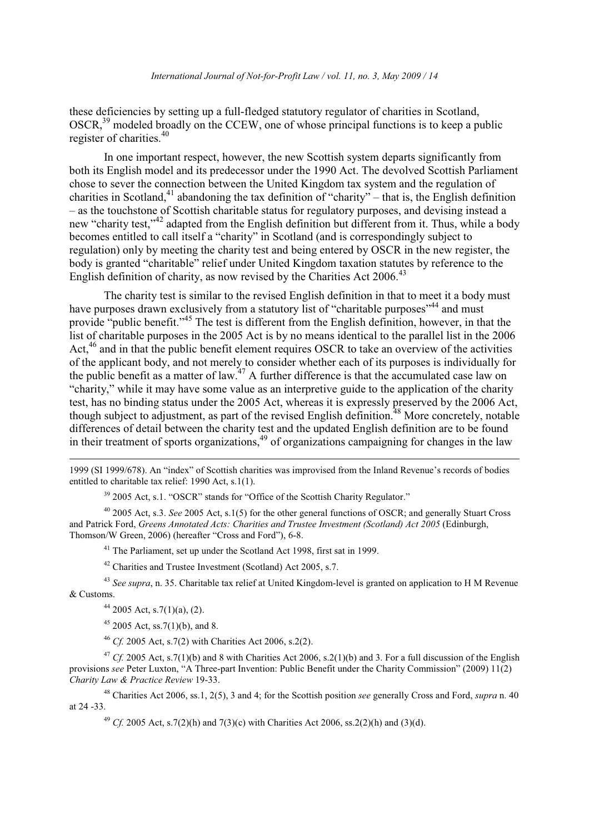these deficiencies by setting up a full-fledged statutory regulator of charities in Scotland,  $OSCR<sup>39</sup>$  modeled broadly on the CCEW, one of whose principal functions is to keep a public register of charities.<sup>40</sup>

In one important respect, however, the new Scottish system departs significantly from both its English model and its predecessor under the 1990 Act. The devolved Scottish Parliament chose to sever the connection between the United Kingdom tax system and the regulation of charities in Scotland.<sup>41</sup> abandoning the tax definition of "charity" – that is, the English definition - as the touchstone of Scottish charitable status for regulatory purposes, and devising instead a new "charity test,"<sup>42</sup> adapted from the English definition but different from it. Thus, while a body becomes entitled to call itself a "charity" in Scotland (and is correspondingly subject to regulation) only by meeting the charity test and being entered by OSCR in the new register, the body is granted "charitable" relief under United Kingdom taxation statutes by reference to the English definition of charity, as now revised by the Charities Act 2006.<sup>43</sup>

The charity test is similar to the revised English definition in that to meet it a body must have purposes drawn exclusively from a statutory list of "charitable purposes"<sup>44</sup> and must provide "public benefit."<sup>45</sup> The test is different from the English definition, however, in that the list of charitable purposes in the 2005 Act is by no means identical to the parallel list in the 2006 Act,<sup>46</sup> and in that the public benefit element requires OSCR to take an overview of the activities of the applicant body, and not merely to consider whether each of its purposes is individually for the public benefit as a matter of law.<sup>47</sup> A further difference is that the accumulated case law on "charity," while it may have some value as an interpretive guide to the application of the charity test, has no binding status under the 2005 Act, whereas it is expressly preserved by the 2006 Act, though subject to adjustment, as part of the revised English definition.<sup>48</sup> More concretely, notable differences of detail between the charity test and the updated English definition are to be found in their treatment of sports organizations,<sup>49</sup> of organizations campaigning for changes in the law

1999 (SI 1999/678). An "index" of Scottish charities was improvised from the Inland Revenue's records of bodies entitled to charitable tax relief: 1990 Act, s.1(1).

<sup>39</sup> 2005 Act, s.1. "OSCR" stands for "Office of the Scottish Charity Regulator."

 $40$  2005 Act, s.3. See 2005 Act, s.1(5) for the other general functions of OSCR; and generally Stuart Cross and Patrick Ford, Greens Annotated Acts: Charities and Trustee Investment (Scotland) Act 2005 (Edinburgh, Thomson/W Green, 2006) (hereafter "Cross and Ford"), 6-8.

<sup>41</sup> The Parliament, set up under the Scotland Act 1998, first sat in 1999.

<sup>42</sup> Charities and Trustee Investment (Scotland) Act 2005, s.7.

<sup>43</sup> See supra, n. 35. Charitable tax relief at United Kingdom-level is granted on application to H M Revenue & Customs.

 $44$  2005 Act, s.7(1)(a), (2).

 $45$  2005 Act, ss. 7(1)(b), and 8.

<sup>46</sup> Cf. 2005 Act, s.7(2) with Charities Act 2006, s.2(2).

<sup>47</sup> Cf. 2005 Act, s.7(1)(b) and 8 with Charities Act 2006, s.2(1)(b) and 3. For a full discussion of the English provisions see Peter Luxton, "A Three-part Invention: Public Benefit under the Charity Commission" (2009) 11(2) Charity Law & Practice Review 19-33.

<sup>48</sup> Charities Act 2006, ss.1, 2(5), 3 and 4; for the Scottish position *see* generally Cross and Ford, *supra* n. 40 at 24 - 33.

<sup>49</sup> Cf. 2005 Act, s.7(2)(h) and 7(3)(c) with Charities Act 2006, ss.2(2)(h) and (3)(d).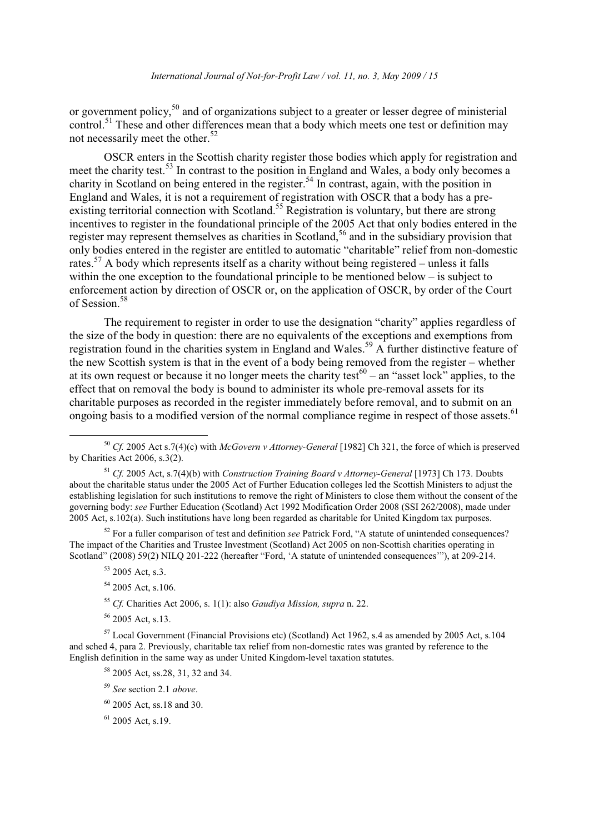or government policy,<sup>50</sup> and of organizations subject to a greater or lesser degree of ministerial control.<sup>51</sup> These and other differences mean that a body which meets one test or definition may not necessarily meet the other.<sup>52</sup>

OSCR enters in the Scottish charity register those bodies which apply for registration and meet the charity test.<sup>53</sup> In contrast to the position in England and Wales, a body only becomes a charity in Scotland on being entered in the register.<sup>54</sup> In contrast, again, with the position in England and Wales, it is not a requirement of registration with OSCR that a body has a preexisting territorial connection with Scotland.<sup>55</sup> Registration is voluntary, but there are strong incentives to register in the foundational principle of the 2005 Act that only bodies entered in the register may represent themselves as charities in Scotland,<sup>56</sup> and in the subsidiary provision that only bodies entered in the register are entitled to automatic "charitable" relief from non-domestic rates.<sup>57</sup> A body which represents itself as a charity without being registered – unless it falls within the one exception to the foundational principle to be mentioned below  $-$  is subject to enforcement action by direction of OSCR or, on the application of OSCR, by order of the Court of Session.<sup>58</sup>

The requirement to register in order to use the designation "charity" applies regardless of the size of the body in question: there are no equivalents of the exceptions and exemptions from registration found in the charities system in England and Wales.<sup>59</sup> A further distinctive feature of the new Scottish system is that in the event of a body being removed from the register – whether at its own request or because it no longer meets the charity test<sup>60</sup> – an "asset lock" applies, to the effect that on removal the body is bound to administer its whole pre-removal assets for its charitable purposes as recorded in the register immediately before removal, and to submit on an ongoing basis to a modified version of the normal compliance regime in respect of those assets.<sup>61</sup>

 $52$  For a fuller comparison of test and definition see Patrick Ford, "A statute of unintended consequences? The impact of the Charities and Trustee Investment (Scotland) Act 2005 on non-Scottish charities operating in Scotland" (2008) 59(2) NILQ 201-222 (hereafter "Ford, 'A statute of unintended consequences""), at 209-214.

- $53$  2005 Act. s.3.
- <sup>54</sup> 2005 Act, s.106.
- <sup>55</sup> Cf. Charities Act 2006, s. 1(1): also *Gaudiva Mission, supra* n. 22.
- $56$  2005 Act. s.13.

<sup>57</sup> Local Government (Financial Provisions etc) (Scotland) Act 1962, s.4 as amended by 2005 Act, s.104 and sched 4, para 2. Previously, charitable tax relief from non-domestic rates was granted by reference to the English definition in the same way as under United Kingdom-level taxation statutes.

- <sup>58</sup> 2005 Act, ss.28, 31, 32 and 34.
- $59$  See section 2.1 above.

 $61$  2005 Act, s.19.

<sup>&</sup>lt;sup>50</sup> Cf. 2005 Act s.7(4)(c) with McGovern v Attorney-General [1982] Ch 321, the force of which is preserved by Charities Act 2006, s.3 $(2)$ .

<sup>&</sup>lt;sup>51</sup> Cf. 2005 Act, s.7(4)(b) with Construction Training Board v Attorney-General [1973] Ch 173. Doubts about the charitable status under the 2005 Act of Further Education colleges led the Scottish Ministers to adjust the establishing legislation for such institutions to remove the right of Ministers to close them without the consent of the governing body: see Further Education (Scotland) Act 1992 Modification Order 2008 (SSI 262/2008), made under 2005 Act, s.102(a). Such institutions have long been regarded as charitable for United Kingdom tax purposes.

 $60$  2005 Act, ss.18 and 30.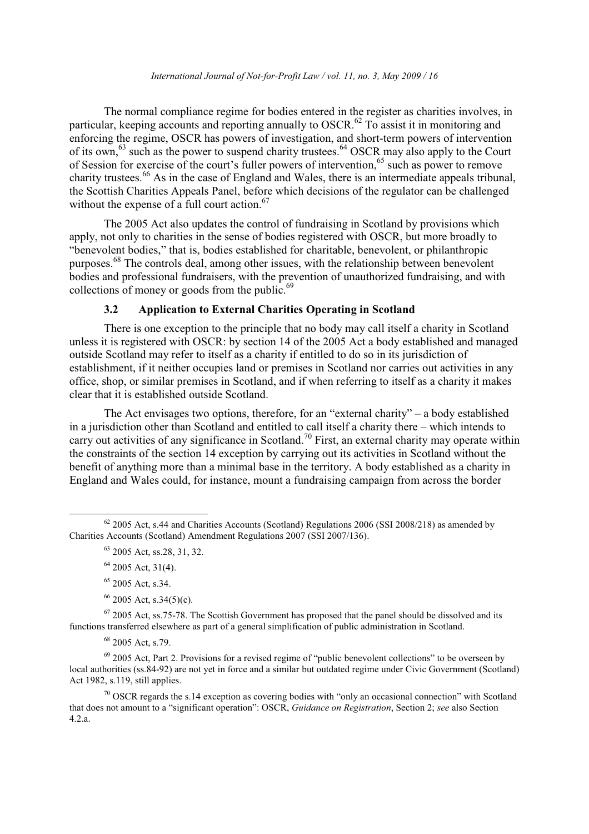The normal compliance regime for bodies entered in the register as charities involves, in particular, keeping accounts and reporting annually to OSCR.<sup>62</sup> To assist it in monitoring and enforcing the regime, OSCR has powers of investigation, and short-term powers of intervention<br>of its own,<sup>63</sup> such as the power to suspend charity trustees.<sup>64</sup> OSCR may also apply to the Court of Session for exercise of the court's fuller powers of intervention,  $65$  such as power to remove charity trustees.<sup>66</sup> As in the case of England and Wales, there is an intermediate appeals tribunal, the Scottish Charities Appeals Panel, before which decisions of the regulator can be challenged without the expense of a full court action.<sup>67</sup>

The 2005 Act also updates the control of fundraising in Scotland by provisions which apply, not only to charities in the sense of bodies registered with OSCR, but more broadly to "benevolent bodies," that is, bodies established for charitable, benevolent, or philanthropic purposes.<sup>68</sup> The controls deal, among other issues, with the relationship between benevolent bodies and professional fundraisers, with the prevention of unauthorized fundraising, and with collections of money or goods from the public.<sup>69</sup>

### **Application to External Charities Operating in Scotland**  $3.2$

There is one exception to the principle that no body may call itself a charity in Scotland unless it is registered with OSCR: by section 14 of the 2005 Act a body established and managed outside Scotland may refer to itself as a charity if entitled to do so in its jurisdiction of establishment, if it neither occupies land or premises in Scotland nor carries out activities in any office, shop, or similar premises in Scotland, and if when referring to itself as a charity it makes clear that it is established outside Scotland.

The Act envisages two options, therefore, for an "external charity"  $-$  a body established in a jurisdiction other than Scotland and entitled to call itself a charity there – which intends to carry out activities of any significance in Scotland.<sup>70</sup> First, an external charity may operate within the constraints of the section 14 exception by carrying out its activities in Scotland without the benefit of anything more than a minimal base in the territory. A body established as a charity in England and Wales could, for instance, mount a fundraising campaign from across the border

 $64$  2005 Act, 31(4).

<sup>66</sup> 2005 Act, s.34(5)(c).

 $67$  2005 Act, ss.75-78. The Scottish Government has proposed that the panel should be dissolved and its functions transferred elsewhere as part of a general simplification of public administration in Scotland.

 $68$  2005 Act, s.79.

 $^{69}$  2005 Act, Part 2. Provisions for a revised regime of "public benevolent collections" to be overseen by local authorities (ss. 84-92) are not yet in force and a similar but outdated regime under Civic Government (Scotland) Act 1982, s.119, still applies.

 $\frac{70}{10}$  OSCR regards the s.14 exception as covering bodies with "only an occasional connection" with Scotland that does not amount to a "significant operation": OSCR, Guidance on Registration, Section 2; see also Section  $4.2.a.$ 

 $62$  2005 Act, s.44 and Charities Accounts (Scotland) Regulations 2006 (SSI 2008/218) as amended by Charities Accounts (Scotland) Amendment Regulations 2007 (SSI 2007/136).

 $63$  2005 Act. ss.28, 31, 32.

 $65$  2005 Act. s.34.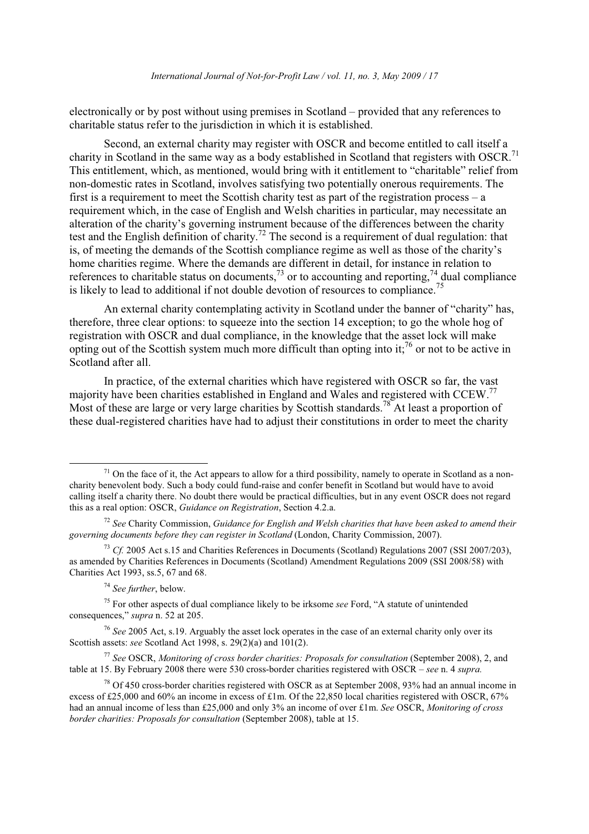electronically or by post without using premises in Scotland – provided that any references to charitable status refer to the jurisdiction in which it is established.

Second, an external charity may register with OSCR and become entitled to call itself a charity in Scotland in the same way as a body established in Scotland that registers with OSCR.<sup>71</sup> This entitlement, which, as mentioned, would bring with it entitlement to "charitable" relief from non-domestic rates in Scotland, involves satisfying two potentially onerous requirements. The first is a requirement to meet the Scottish charity test as part of the registration process  $-a$ requirement which, in the case of English and Welsh charities in particular, may necessitate an alteration of the charity's governing instrument because of the differences between the charity test and the English definition of charity.<sup>72</sup> The second is a requirement of dual regulation: that is, of meeting the demands of the Scottish compliance regime as well as those of the charity's home charities regime. Where the demands are different in detail, for instance in relation to references to charitable status on documents,<sup>73</sup> or to accounting and reporting,<sup>74</sup> dual compliance is likely to lead to additional if not double devotion of resources to compliance.<sup>75</sup>

An external charity contemplating activity in Scotland under the banner of "charity" has. therefore, three clear options: to squeeze into the section 14 exception; to go the whole hog of registration with OSCR and dual compliance, in the knowledge that the asset lock will make opting out of the Scottish system much more difficult than opting into it;  $^{76}$  or not to be active in Scotland after all.

In practice, of the external charities which have registered with OSCR so far, the vast majority have been charities established in England and Wales and registered with CCEW.<sup>77</sup> Most of these are large or very large charities by Scottish standards.<sup>78</sup> At least a proportion of these dual-registered charities have had to adjust their constitutions in order to meet the charity

 $17$  See OSCR, Monitoring of cross border charities: Proposals for consultation (September 2008), 2, and table at 15. By February 2008 there were 530 cross-border charities registered with OSCR  $-$  see n. 4 supra.

 $1$ <sup>1</sup> On the face of it, the Act appears to allow for a third possibility, namely to operate in Scotland as a noncharity benevolent body. Such a body could fund-raise and confer benefit in Scotland but would have to avoid calling itself a charity there. No doubt there would be practical difficulties, but in any event OSCR does not regard this as a real option: OSCR, Guidance on Registration, Section 4.2.a.

 $12$  See Charity Commission, Guidance for English and Welsh charities that have been asked to amend their governing documents before they can register in Scotland (London, Charity Commission, 2007).

 $^{73}$  Cf. 2005 Act s.15 and Charities References in Documents (Scotland) Regulations 2007 (SSI 2007/203). as amended by Charities References in Documents (Scotland) Amendment Regulations 2009 (SSI 2008/58) with Charities Act 1993, ss.5, 67 and 68.

 $74$  See further, below.

<sup>&</sup>lt;sup>75</sup> For other aspects of dual compliance likely to be irksome see Ford, "A statute of unintended consequences," supra n. 52 at 205.

<sup>&</sup>lt;sup>76</sup> See 2005 Act, s.19. Arguably the asset lock operates in the case of an external charity only over its Scottish assets: see Scotland Act 1998, s.  $29(2)(a)$  and  $101(2)$ .

 $^{78}$  Of 450 cross-border charities registered with OSCR as at September 2008, 93% had an annual income in excess of £25,000 and 60% an income in excess of £1m. Of the 22,850 local charities registered with OSCR, 67% had an annual income of less than £25,000 and only 3% an income of over £1m. See OSCR, Monitoring of cross border charities: Proposals for consultation (September 2008), table at 15.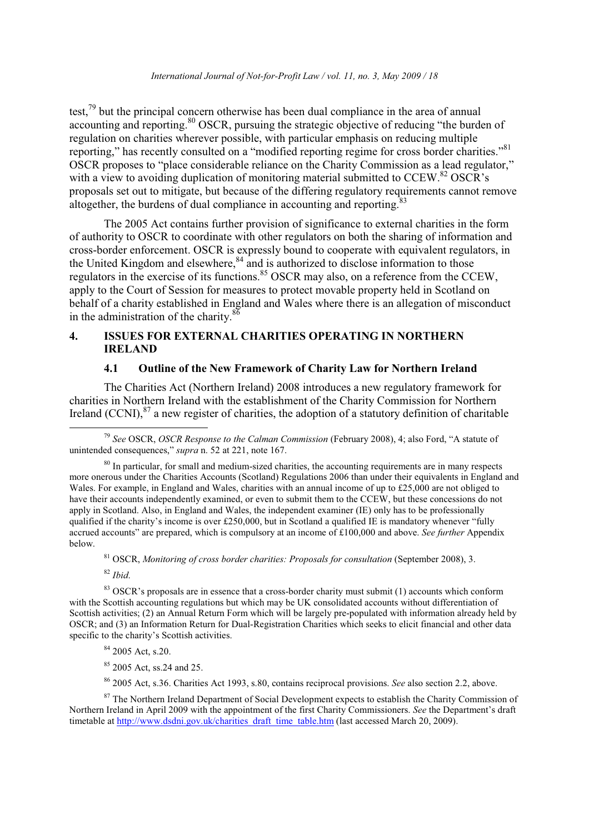test,  $^{79}$  but the principal concern otherwise has been dual compliance in the area of annual accounting and reporting.<sup>80</sup> OSCR, pursuing the strategic objective of reducing "the burden of regulation on charities wherever possible, with particular emphasis on reducing multiple reporting," has recently consulted on a "modified reporting regime for cross border charities."<sup>81</sup> OSCR proposes to "place considerable reliance on the Charity Commission as a lead regulator," with a view to avoiding duplication of monitoring material submitted to CCEW.<sup>82</sup> OSCR's proposals set out to mitigate, but because of the differing regulatory requirements cannot remove altogether, the burdens of dual compliance in accounting and reporting.<sup>8</sup>

The 2005 Act contains further provision of significance to external charities in the form of authority to OSCR to coordinate with other regulators on both the sharing of information and cross-border enforcement. OSCR is expressly bound to cooperate with equivalent regulators, in the United Kingdom and elsewhere,<sup>84</sup> and is authorized to disclose information to those regulators in the exercise of its functions.<sup>85</sup> OSCR may also, on a reference from the CCEW, apply to the Court of Session for measures to protect movable property held in Scotland on behalf of a charity established in England and Wales where there is an allegation of misconduct in the administration of the charity.<sup>86</sup>

### **ISSUES FOR EXTERNAL CHARITIES OPERATING IN NORTHERN**  $\overline{4}$ . **IRELAND**

### $4.1$ Outline of the New Framework of Charity Law for Northern Ireland

The Charities Act (Northern Ireland) 2008 introduces a new regulatory framework for charities in Northern Ireland with the establishment of the Charity Commission for Northern Ireland (CCNI),  $^{87}$  a new register of charities, the adoption of a statutory definition of charitable

 $81$  OSCR, Monitoring of cross border charities: Proposals for consultation (September 2008), 3.

 $82$  Ibid.

<sup>83</sup> OSCR's proposals are in essence that a cross-border charity must submit (1) accounts which conform with the Scottish accounting regulations but which may be UK consolidated accounts without differentiation of Scottish activities; (2) an Annual Return Form which will be largely pre-populated with information already held by OSCR; and (3) an Information Return for Dual-Registration Charities which seeks to elicit financial and other data specific to the charity's Scottish activities.

 $84$  2005 Act, s.20.

<sup>85</sup> 2005 Act, ss.24 and 25.

<sup>86</sup> 2005 Act, s.36. Charities Act 1993, s.80, contains reciprocal provisions. See also section 2.2, above.

<sup>87</sup> The Northern Ireland Department of Social Development expects to establish the Charity Commission of Northern Ireland in April 2009 with the appointment of the first Charity Commissioners. See the Department's draft timetable at http://www.dsdni.gov.uk/charities draft time table.htm (last accessed March 20, 2009).

<sup>&</sup>lt;sup>79</sup> See OSCR, *OSCR Response to the Calman Commission* (February 2008), 4; also Ford, "A statute of unintended consequences," supra n. 52 at 221, note 167.

<sup>&</sup>lt;sup>80</sup> In particular, for small and medium-sized charities, the accounting requirements are in many respects more onerous under the Charities Accounts (Scotland) Regulations 2006 than under their equivalents in England and Wales. For example, in England and Wales, charities with an annual income of up to  $£25,000$  are not obliged to have their accounts independently examined, or even to submit them to the CCEW, but these concessions do not apply in Scotland. Also, in England and Wales, the independent examiner (IE) only has to be professionally qualified if the charity's income is over £250,000, but in Scotland a qualified IE is mandatory whenever "fully accrued accounts" are prepared, which is compulsory at an income of  $£100,000$  and above. See further Appendix below.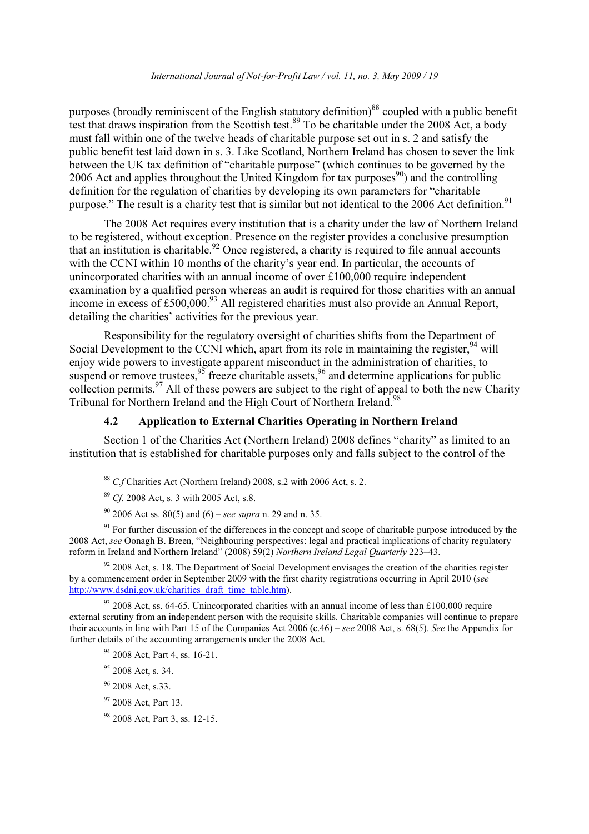purposes (broadly reminiscent of the English statutory definition)<sup>88</sup> coupled with a public benefit test that draws inspiration from the Scottish test.<sup>89</sup> To be charitable under the 2008 Act, a body must fall within one of the twelve heads of charitable purpose set out in s. 2 and satisfy the public benefit test laid down in s. 3. Like Scotland, Northern Ireland has chosen to sever the link between the UK tax definition of "charitable purpose" (which continues to be governed by the 2006 Act and applies throughout the United Kingdom for tax purposes<sup>90</sup>) and the controlling definition for the regulation of charities by developing its own parameters for "charitable" purpose." The result is a charity test that is similar but not identical to the 2006 Act definition.<sup>91</sup>

The 2008 Act requires every institution that is a charity under the law of Northern Ireland to be registered, without exception. Presence on the register provides a conclusive presumption that an institution is charitable.<sup>92</sup> Once registered, a charity is required to file annual accounts with the CCNI within 10 months of the charity's year end. In particular, the accounts of unincorporated charities with an annual income of over £100,000 require independent examination by a qualified person whereas an audit is required for those charities with an annual income in excess of £500,000.<sup>93</sup> All registered charities must also provide an Annual Report, detailing the charities' activities for the previous vear.

Responsibility for the regulatory oversight of charities shifts from the Department of Social Development to the CCNI which, apart from its role in maintaining the register, <sup>94</sup> will enjoy wide powers to investigate apparent misconduct in the administration of charities, to suspend or remove trustees.<sup>95</sup> freeze charitable assets, <sup>96</sup> and determine applications for public collection permits.<sup>97</sup> All of these powers are subject to the right of appeal to both the new Charity Tribunal for Northern Ireland and the High Court of Northern Ireland.

### **Application to External Charities Operating in Northern Ireland**  $4.2$

Section 1 of the Charities Act (Northern Ireland) 2008 defines "charity" as limited to an institution that is established for charitable purposes only and falls subject to the control of the

 $91$  For further discussion of the differences in the concept and scope of charitable purpose introduced by the 2008 Act, see Oonagh B. Breen, "Neighbouring perspectives: legal and practical implications of charity regulatory<br>reform in Ireland and Northern Ireland" (2008) 59(2) Northern Ireland Legal Quarterly 223-43.

 $92$  2008 Act, s. 18. The Department of Social Development envisages the creation of the charities register by a commencement order in September 2009 with the first charity registrations occurring in April 2010 (see http://www.dsdni.gov.uk/charities draft time table.htm).

 $93$  2008 Act, ss. 64-65. Unincorporated charities with an annual income of less than £100,000 require external scrutiny from an independent person with the requisite skills. Charitable companies will continue to prepare their accounts in line with Part 15 of the Companies Act  $2006$  (c.46) – see 2008 Act, s. 68(5). See the Appendix for further details of the accounting arrangements under the 2008 Act.

- $95$  2008 Act. s. 34.
- <sup>96</sup> 2008 Act, s.33.
- <sup>97</sup> 2008 Act, Part 13.
- <sup>98</sup> 2008 Act, Part 3, ss. 12-15.

<sup>&</sup>lt;sup>88</sup> C.f Charities Act (Northern Ireland) 2008, s.2 with 2006 Act, s. 2.

 $89$  Cf. 2008 Act, s. 3 with 2005 Act, s.8.

<sup>&</sup>lt;sup>90</sup> 2006 Act ss. 80(5) and (6) – see supra n. 29 and n. 35.

<sup>&</sup>lt;sup>94</sup> 2008 Act, Part 4, ss. 16-21.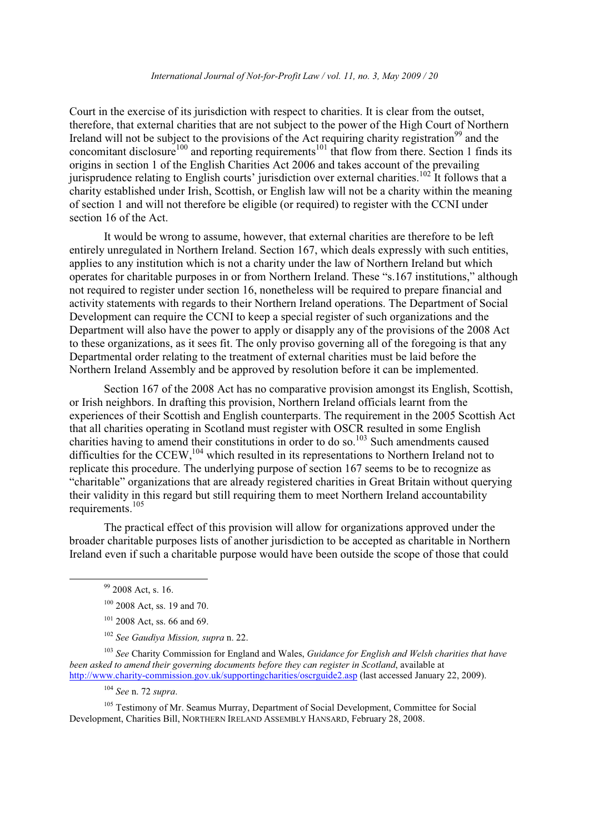## International Journal of Not-for-Profit Law / vol. 11. no. 3. May 2009 / 20

Court in the exercise of its jurisdiction with respect to charities. It is clear from the outset, therefore, that external charities that are not subject to the power of the High Court of Northern Ireland will not be subject to the provisions of the Act requiring charity registration<sup>99</sup> and the concomitant disclosure<sup>100</sup> and reporting requirements<sup>101</sup> that flow from there. Section 1 finds its origins in section 1 of the English Charities Act 2006 and takes account of the prevailing jurisprudence relating to English courts' jurisdiction over external charities.<sup>102</sup> It follows that a charity established under Irish, Scottish, or English law will not be a charity within the meaning of section 1 and will not therefore be eligible (or required) to register with the CCNI under section 16 of the Act.

It would be wrong to assume, however, that external charities are therefore to be left entirely unregulated in Northern Ireland. Section 167, which deals expressly with such entities, applies to any institution which is not a charity under the law of Northern Ireland but which operates for charitable purposes in or from Northern Ireland. These "s.167 institutions," although not required to register under section 16, nonetheless will be required to prepare financial and activity statements with regards to their Northern Ireland operations. The Department of Social Development can require the CCNI to keep a special register of such organizations and the Department will also have the power to apply or disapply any of the provisions of the 2008 Act to these organizations, as it sees fit. The only proviso governing all of the foregoing is that any Departmental order relating to the treatment of external charities must be laid before the Northern Ireland Assembly and be approved by resolution before it can be implemented.

Section 167 of the 2008 Act has no comparative provision amongst its English, Scottish, or Irish neighbors. In drafting this provision, Northern Ireland officials learnt from the experiences of their Scottish and English counterparts. The requirement in the 2005 Scottish Act that all charities operating in Scotland must register with OSCR resulted in some English charities having to amend their constitutions in order to do so.<sup>103</sup> Such amendments caused difficulties for the CCEW,  $^{104}$  which resulted in its representations to Northern Ireland not to replicate this procedure. The underlying purpose of section 167 seems to be to recognize as "charitable" organizations that are already registered charities in Great Britain without querying their validity in this regard but still requiring them to meet Northern Ireland accountability requirements.<sup>105</sup>

The practical effect of this provision will allow for organizations approved under the broader charitable purposes lists of another jurisdiction to be accepted as charitable in Northern Ireland even if such a charitable purpose would have been outside the scope of those that could

 $104$  See n. 72 supra.

<sup>105</sup> Testimony of Mr. Seamus Murray, Department of Social Development, Committee for Social Development, Charities Bill, NORTHERN IRELAND ASSEMBLY HANSARD, February 28, 2008.

<sup>&</sup>lt;sup>99</sup> 2008 Act, s. 16.

 $100$  2008 Act, ss. 19 and 70.

 $101$  2008 Act, ss, 66 and 69.

<sup>&</sup>lt;sup>102</sup> See Gaudiya Mission, supra n. 22.

 $103$  See Charity Commission for England and Wales, *Guidance for English and Welsh charities that have* been asked to amend their governing documents before they can register in Scotland, available at http://www.charity-commission.gov.uk/supportingcharities/oscreude2.asp (last accessed January 22, 2009).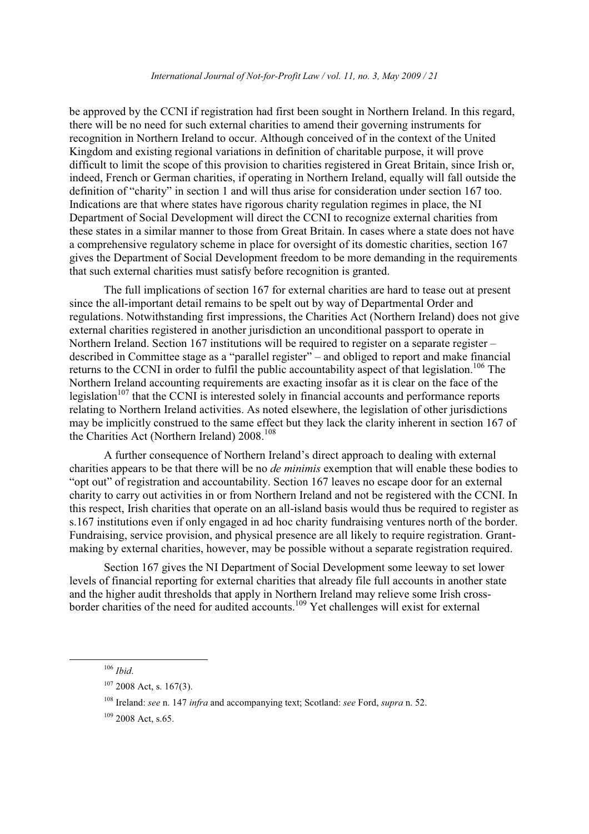### International Journal of Not-for-Profit Law / vol. 11, no. 3, May 2009 / 21

be approved by the CCNI if registration had first been sought in Northern Ireland. In this regard. there will be no need for such external charities to amend their governing instruments for recognition in Northern Ireland to occur. Although conceived of in the context of the United Kingdom and existing regional variations in definition of charitable purpose, it will prove difficult to limit the scope of this provision to charities registered in Great Britain, since Irish or, indeed, French or German charities, if operating in Northern Ireland, equally will fall outside the definition of "charity" in section 1 and will thus arise for consideration under section 167 too. Indications are that where states have rigorous charity regulation regimes in place, the NI Department of Social Development will direct the CCNI to recognize external charities from these states in a similar manner to those from Great Britain. In cases where a state does not have a comprehensive regulatory scheme in place for oversight of its domestic charities, section 167 gives the Department of Social Development freedom to be more demanding in the requirements that such external charities must satisfy before recognition is granted.

The full implications of section 167 for external charities are hard to tease out at present since the all-important detail remains to be spelt out by way of Departmental Order and regulations. Notwithstanding first impressions, the Charities Act (Northern Ireland) does not give external charities registered in another jurisdiction an unconditional passport to operate in Northern Ireland. Section 167 institutions will be required to register on a separate register  $$ described in Committee stage as a "parallel register" – and obliged to report and make financial returns to the CCNI in order to fulfil the public accountability aspect of that legislation.<sup>106</sup> The Northern Ireland accounting requirements are exacting insofar as it is clear on the face of the legislation<sup> $107$ </sup> that the CCNI is interested solely in financial accounts and performance reports relating to Northern Ireland activities. As noted elsewhere, the legislation of other jurisdictions may be implicitly construed to the same effect but they lack the clarity inherent in section 167 of the Charities Act (Northern Ireland) 2008.<sup>108</sup>

A further consequence of Northern Ireland's direct approach to dealing with external charities appears to be that there will be no *de minimis* exemption that will enable these bodies to "opt out" of registration and accountability. Section 167 leaves no escape door for an external charity to carry out activities in or from Northern Ireland and not be registered with the CCNI. In this respect. Irish charities that operate on an all-island basis would thus be required to register as s.167 institutions even if only engaged in ad hoc charity fundraising ventures north of the border. Fundraising, service provision, and physical presence are all likely to require registration. Grantmaking by external charities, however, may be possible without a separate registration required.

Section 167 gives the NI Department of Social Development some leeway to set lower levels of financial reporting for external charities that already file full accounts in another state and the higher audit thresholds that apply in Northern Ireland may relieve some Irish crossborder charities of the need for audited accounts.<sup>109</sup> Yet challenges will exist for external

 $106$  Ibid.

 $107$  2008 Act, s. 167(3).

 $108$  Ireland: see n. 147 *infra* and accompanying text; Scotland: see Ford, *supra* n. 52.

 $109$  2008 Act. s.65.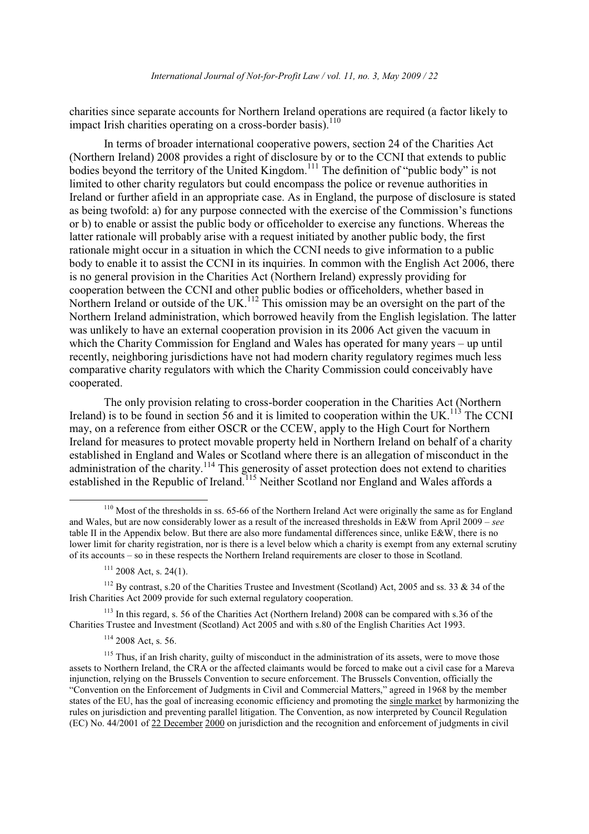charities since separate accounts for Northern Ireland operations are required (a factor likely to impact Irish charities operating on a cross-border basis).<sup>110</sup>

In terms of broader international cooperative powers, section 24 of the Charities Act (Northern Ireland) 2008 provides a right of disclosure by or to the CCNI that extends to public bodies beyond the territory of the United Kingdom.<sup>111</sup> The definition of "public body" is not limited to other charity regulators but could encompass the police or revenue authorities in Ireland or further afield in an appropriate case. As in England, the purpose of disclosure is stated as being twofold: a) for any purpose connected with the exercise of the Commission's functions or b) to enable or assist the public body or officeholder to exercise any functions. Whereas the latter rationale will probably arise with a request initiated by another public body, the first rationale might occur in a situation in which the CCNI needs to give information to a public body to enable it to assist the CCNI in its inquiries. In common with the English Act 2006, there is no general provision in the Charities Act (Northern Ireland) expressly providing for cooperation between the CCNI and other public bodies or officeholders, whether based in<br>Northern Ireland or outside of the UK.<sup>112</sup> This omission may be an oversight on the part of the Northern Ireland administration, which borrowed heavily from the English legislation. The latter was unlikely to have an external cooperation provision in its 2006 Act given the vacuum in which the Charity Commission for England and Wales has operated for many years – up until recently, neighboring jurisdictions have not had modern charity regulatory regimes much less comparative charity regulators with which the Charity Commission could conceivably have cooperated.

The only provision relating to cross-border cooperation in the Charities Act (Northern Ireland) is to be found in section 56 and it is limited to cooperation within the UK.<sup>113</sup> The CCNI may, on a reference from either OSCR or the CCEW, apply to the High Court for Northern Ireland for measures to protect movable property held in Northern Ireland on behalf of a charity established in England and Wales or Scotland where there is an allegation of misconduct in the administration of the charity.<sup>114</sup> This generosity of asset protection does not extend to charities established in the Republic of Ireland.<sup>115</sup> Neither Scotland nor England and Wales affords a

 $^{113}$  In this regard, s. 56 of the Charities Act (Northern Ireland) 2008 can be compared with s.36 of the Charities Trustee and Investment (Scotland) Act 2005 and with s.80 of the English Charities Act 1993.

 $110$  Most of the thresholds in ss. 65-66 of the Northern Ireland Act were originally the same as for England and Wales, but are now considerably lower as a result of the increased thresholds in E&W from April 2009 – see table II in the Appendix below. But there are also more fundamental differences since, unlike E&W, there is no lower limit for charity registration, nor is there is a level below which a charity is exempt from any external scrutiny of its accounts – so in these respects the Northern Ireland requirements are closer to those in Scotland.

 $111$  2008 Act, s. 24(1).

<sup>&</sup>lt;sup>112</sup> By contrast, s.20 of the Charities Trustee and Investment (Scotland) Act, 2005 and ss. 33 & 34 of the Irish Charities Act 2009 provide for such external regulatory cooperation.

<sup>&</sup>lt;sup>114</sup> 2008 Act, s. 56.

<sup>&</sup>lt;sup>115</sup> Thus, if an Irish charity, guilty of misconduct in the administration of its assets, were to move those assets to Northern Ireland, the CRA or the affected claimants would be forced to make out a civil case for a Mareva injunction, relying on the Brussels Convention to secure enforcement. The Brussels Convention, officially the "Convention on the Enforcement of Judgments in Civil and Commercial Matters," agreed in 1968 by the member states of the EU, has the goal of increasing economic efficiency and promoting the single market by harmonizing the rules on jurisdiction and preventing parallel litigation. The Convention, as now interpreted by Council Regulation (EC) No. 44/2001 of 22 December 2000 on jurisdiction and the recognition and enforcement of judgments in civil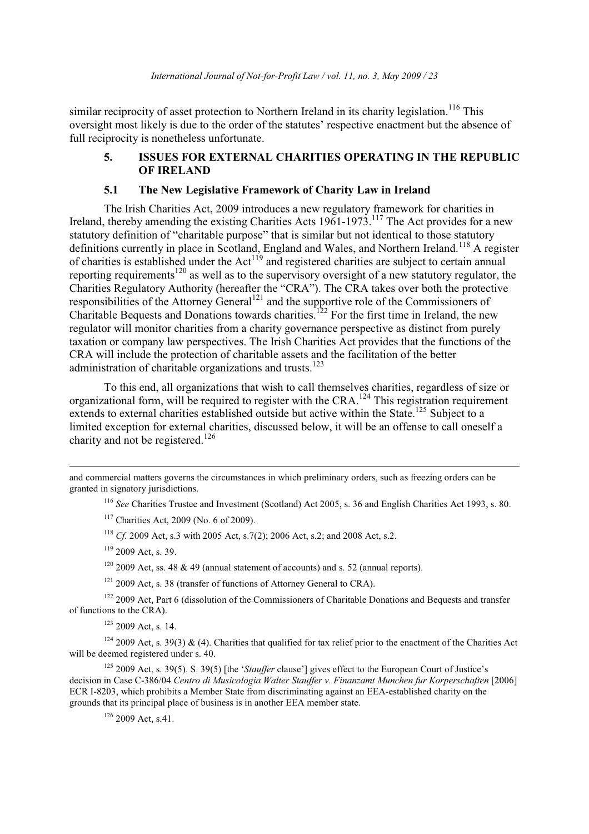similar reciprocity of asset protection to Northern Ireland in its charity legislation.<sup>116</sup> This oversight most likely is due to the order of the statutes' respective enactment but the absence of full reciprocity is nonetheless unfortunate.

### 5. **ISSUES FOR EXTERNAL CHARITIES OPERATING IN THE REPUBLIC OF IRELAND**

### $5.1$ The New Legislative Framework of Charity Law in Ireland

The Irish Charities Act, 2009 introduces a new regulatory framework for charities in Ireland, thereby amending the existing Charities Acts  $1961-1973$ .<sup>117</sup> The Act provides for a new statutory definition of "charitable purpose" that is similar but not identical to those statutory definitions currently in place in Scotland, England and Wales, and Northern Ireland.<sup>118</sup> A register of charities is established under the Act<sup>119</sup> and registered charities are subject to certain annual reporting requirements<sup>120</sup> as well as to the supervisory oversight of a new statutory regulator, the Charities Regulatory Authority (hereafter the "CRA"). The CRA takes over both the protective responsibilities of the Attorney General<sup>121</sup> and the supportive role of the Commissioners of Charitable Bequests and Donations towards charities.<sup>122</sup> For the first time in Ireland, the new regulator will monitor charities from a charity governance perspective as distinct from purely taxation or company law perspectives. The Irish Charities Act provides that the functions of the CRA will include the protection of charitable assets and the facilitation of the better administration of charitable organizations and trusts.<sup>123</sup>

To this end, all organizations that wish to call themselves charities, regardless of size or organizational form, will be required to register with the CRA.<sup>124</sup> This registration requirement extends to external charities established outside but active within the State.<sup>125</sup> Subject to a limited exception for external charities, discussed below, it will be an offense to call oneself a charity and not be registered.<sup>126</sup>

and commercial matters governs the circumstances in which preliminary orders, such as freezing orders can be granted in signatory jurisdictions.

<sup>116</sup> See Charities Trustee and Investment (Scotland) Act 2005, s. 36 and English Charities Act 1993, s. 80.

 $117$  Charities Act, 2009 (No. 6 of 2009).

<sup>118</sup> Cf. 2009 Act, s.3 with 2005 Act, s.7(2); 2006 Act, s.2; and 2008 Act, s.2.

 $119$  2009 Act. s. 39.

 $120$  2009 Act, ss. 48 & 49 (annual statement of accounts) and s. 52 (annual reports).

 $121$  2009 Act, s. 38 (transfer of functions of Attorney General to CRA).

<sup>122</sup> 2009 Act, Part 6 (dissolution of the Commissioners of Charitable Donations and Bequests and transfer of functions to the CRA).

 $123$  2009 Act. s. 14.

 $124$  2009 Act, s. 39(3) & (4). Charities that qualified for tax relief prior to the enactment of the Charities Act will be deemed registered under s. 40.

<sup>125</sup> 2009 Act, s. 39(5). S. 39(5) [the '*Stauffer* clause'] gives effect to the European Court of Justice's decision in Case C-386/04 Centro di Musicologia Walter Stauffer v. Finanzamt Munchen fur Korperschaften [2006] ECR I-8203, which prohibits a Member State from discriminating against an EEA-established charity on the grounds that its principal place of business is in another EEA member state.

 $126$  2009 Act, s.41.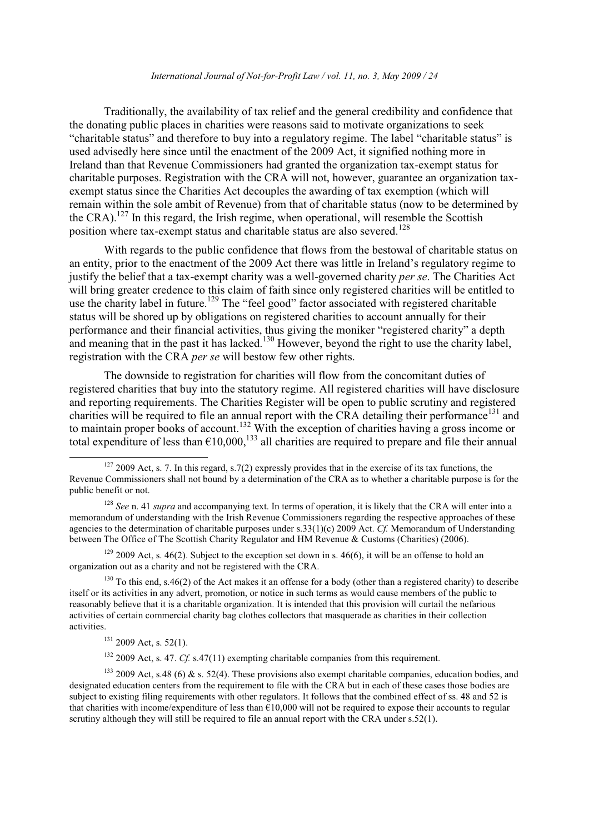### International Journal of Not-for-Profit Law / vol. 11, no. 3, May 2009 / 24

Traditionally, the availability of tax relief and the general credibility and confidence that the donating public places in charities were reasons said to motivate organizations to seek "charitable status" and therefore to buy into a regulatory regime. The label "charitable status" is used advisedly here since until the enactment of the 2009 Act, it signified nothing more in Ireland than that Revenue Commissioners had granted the organization tax-exempt status for charitable purposes. Registration with the CRA will not, however, guarantee an organization taxexempt status since the Charities Act decouples the awarding of tax exemption (which will remain within the sole ambit of Revenue) from that of charitable status (now to be determined by the CRA).<sup>127</sup> In this regard, the Irish regime, when operational, will resemble the Scottish position where tax-exempt status and charitable status are also severed.<sup>128</sup>

With regards to the public confidence that flows from the bestowal of charitable status on an entity, prior to the enactment of the 2009 Act there was little in Ireland's regulatory regime to justify the belief that a tax-exempt charity was a well-governed charity per se. The Charities Act will bring greater credence to this claim of faith since only registered charities will be entitled to use the charity label in future.<sup>129</sup> The "feel good" factor associated with registered charitable status will be shored up by obligations on registered charities to account annually for their performance and their financial activities, thus giving the moniker "registered charity" a depth and meaning that in the past it has lacked.<sup>130</sup> However, beyond the right to use the charity label, registration with the CRA per se will bestow few other rights.

The downside to registration for charities will flow from the concomitant duties of registered charities that buy into the statutory regime. All registered charities will have disclosure and reporting requirements. The Charities Register will be open to public scrutiny and registered charities will be required to file an annual report with the CRA detailing their performance<sup>131</sup> and to maintain proper books of account.<sup>132</sup> With the exception of charities having a gross income or total expenditure of less than  $\epsilon$ 10,000,<sup>133</sup> all charities are required to prepare and file their annual

 $129$  2009 Act, s. 46(2). Subject to the exception set down in s. 46(6), it will be an offense to hold an organization out as a charity and not be registered with the CRA.

 $130$  To this end, s.46(2) of the Act makes it an offense for a body (other than a registered charity) to describe itself or its activities in any advert, promotion, or notice in such terms as would cause members of the public to reasonably believe that it is a charitable organization. It is intended that this provision will curtail the nefarious activities of certain commercial charity bag clothes collectors that masquerade as charities in their collection activities.

 $131$  2009 Act, s. 52(1).

 $132$  2009 Act, s. 47. Cf. s.47(11) exempting charitable companies from this requirement.

 $133$  2009 Act, s.48 (6) & s. 52(4). These provisions also exempt charitable companies, education bodies, and designated education centers from the requirement to file with the CRA but in each of these cases those bodies are subject to existing filing requirements with other regulators. It follows that the combined effect of ss. 48 and 52 is that charities with income/expenditure of less than  $\epsilon$ 10,000 will not be required to expose their accounts to regular scrutiny although they will still be required to file an annual report with the CRA under s.52(1).

 $127$  2009 Act, s. 7. In this regard, s.7(2) expressly provides that in the exercise of its tax functions, the Revenue Commissioners shall not bound by a determination of the CRA as to whether a charitable purpose is for the public benefit or not.

 $128$  See n. 41 supra and accompanying text. In terms of operation, it is likely that the CRA will enter into a memorandum of understanding with the Irish Revenue Commissioners regarding the respective approaches of these agencies to the determination of charitable purposes under  $s.33(1)(c)$  2009 Act. Cf. Memorandum of Understanding between The Office of The Scottish Charity Regulator and HM Revenue & Customs (Charities) (2006).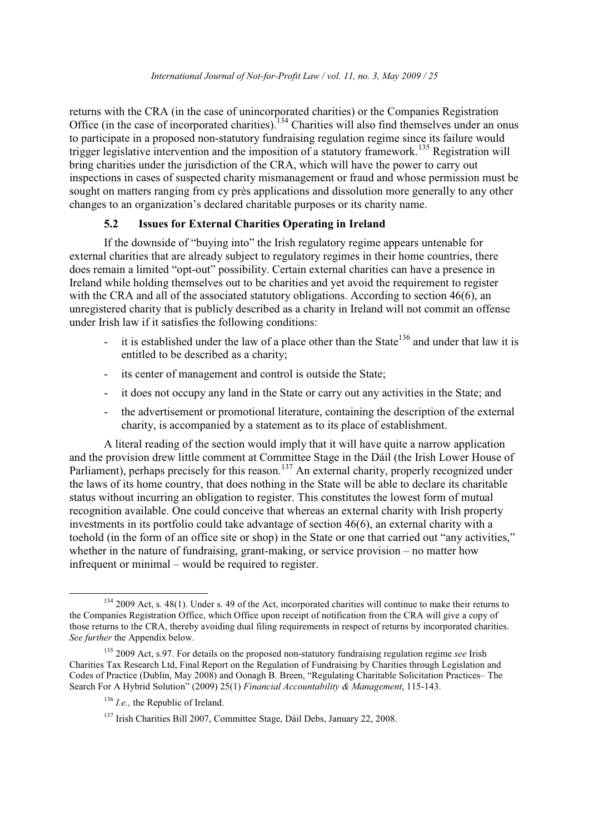returns with the CRA (in the case of unincorporated charities) or the Companies Registration Office (in the case of incorporated charities).<sup>134</sup> Charities will also find themselves under an onus to participate in a proposed non-statutory fundraising regulation regime since its failure would trigger legislative intervention and the imposition of a statutory framework.<sup>135</sup> Registration will bring charities under the jurisdiction of the CRA, which will have the power to carry out inspections in cases of suspected charity mismanagement or fraud and whose permission must be sought on matters ranging from cy près applications and dissolution more generally to any other changes to an organization's declared charitable purposes or its charity name.

### **Issues for External Charities Operating in Ireland**  $5.2$

If the downside of "buying into" the Irish regulatory regime appears untenable for external charities that are already subject to regulatory regimes in their home countries, there does remain a limited "opt-out" possibility. Certain external charities can have a presence in Ireland while holding themselves out to be charities and yet avoid the requirement to register with the CRA and all of the associated statutory obligations. According to section 46(6), an unregistered charity that is publicly described as a charity in Ireland will not commit an offense under Irish law if it satisfies the following conditions:

- it is established under the law of a place other than the State<sup>136</sup> and under that law it is  $\mathbb{Z}^{(n)}$ entitled to be described as a charity;
- its center of management and control is outside the State;
- it does not occupy any land in the State or carry out any activities in the State; and  $\omega_{\rm{max}}$
- the advertisement or promotional literature, containing the description of the external charity, is accompanied by a statement as to its place of establishment.

A literal reading of the section would imply that it will have quite a narrow application and the provision drew little comment at Committee Stage in the Dáil (the Irish Lower House of Parliament), perhaps precisely for this reason.<sup>137</sup> An external charity, properly recognized under the laws of its home country, that does nothing in the State will be able to declare its charitable status without incurring an obligation to register. This constitutes the lowest form of mutual recognition available. One could conceive that whereas an external charity with Irish property investments in its portfolio could take advantage of section 46(6), an external charity with a toehold (in the form of an office site or shop) in the State or one that carried out "any activities," whether in the nature of fundraising, grant-making, or service provision  $-$  no matter how infrequent or minimal – would be required to register.

<sup>&</sup>lt;sup>134</sup> 2009 Act, s. 48(1). Under s. 49 of the Act, incorporated charities will continue to make their returns to the Companies Registration Office, which Office upon receipt of notification from the CRA will give a copy of those returns to the CRA, thereby avoiding dual filing requirements in respect of returns by incorporated charities. See further the Appendix below.

<sup>135 2009</sup> Act, s.97. For details on the proposed non-statutory fundraising regulation regime see Irish Charities Tax Research Ltd, Final Report on the Regulation of Fundraising by Charities through Legislation and Codes of Practice (Dublin, May 2008) and Oonagh B. Breen, "Regulating Charitable Solicitation Practices– The Search For A Hybrid Solution" (2009) 25(1) Financial Accountability & Management, 115-143.

 $^{136}$  *I.e.*, the Republic of Ireland.

<sup>&</sup>lt;sup>137</sup> Irish Charities Bill 2007, Committee Stage, Dáil Debs, January 22, 2008.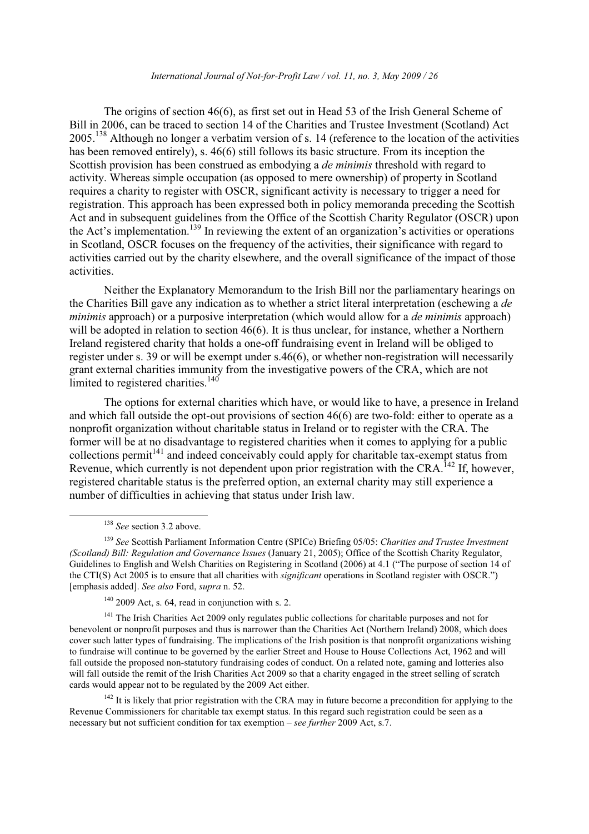### International Journal of Not-for-Profit Law / vol. 11, no. 3, May 2009 / 26

The origins of section 46(6), as first set out in Head 53 of the Irish General Scheme of Bill in 2006, can be traced to section 14 of the Charities and Trustee Investment (Scotland) Act 2005.<sup>138</sup> Although no longer a verbatim version of s. 14 (reference to the location of the activities has been removed entirely), s. 46(6) still follows its basic structure. From its inception the Scottish provision has been construed as embodying a *de minimis* threshold with regard to activity. Whereas simple occupation (as opposed to mere ownership) of property in Scotland requires a charity to register with OSCR, significant activity is necessary to trigger a need for registration. This approach has been expressed both in policy memoranda preceding the Scottish Act and in subsequent guidelines from the Office of the Scottish Charity Regulator (OSCR) upon the Act's implementation.<sup>139</sup> In reviewing the extent of an organization's activities or operations in Scotland, OSCR focuses on the frequency of the activities, their significance with regard to activities carried out by the charity elsewhere, and the overall significance of the impact of those activities.

Neither the Explanatory Memorandum to the Irish Bill nor the parliamentary hearings on the Charities Bill gave any indication as to whether a strict literal interpretation (eschewing a de minimis approach) or a purposive interpretation (which would allow for a *de minimis* approach) will be adopted in relation to section 46(6). It is thus unclear, for instance, whether a Northern Ireland registered charity that holds a one-off fundraising event in Ireland will be obliged to register under s. 39 or will be exempt under s.46(6), or whether non-registration will necessarily grant external charities immunity from the investigative powers of the CRA, which are not limited to registered charities.<sup>140</sup>

The options for external charities which have, or would like to have, a presence in Ireland and which fall outside the opt-out provisions of section 46(6) are two-fold: either to operate as a nonprofit organization without charitable status in Ireland or to register with the CRA. The former will be at no disadvantage to registered charities when it comes to applying for a public collections permit<sup>141</sup> and indeed conceivably could apply for charitable tax-exempt status from Revenue, which currently is not dependent upon prior registration with the CRA.<sup>142</sup> If, however, registered charitable status is the preferred option, an external charity may still experience a number of difficulties in achieving that status under Irish law.

 $142$  It is likely that prior registration with the CRA may in future become a precondition for applying to the Revenue Commissioners for charitable tax exempt status. In this regard such registration could be seen as a necessary but not sufficient condition for tax exemption – see further 2009 Act, s.7.

 $138$  See section 3.2 above.

<sup>&</sup>lt;sup>139</sup> See Scottish Parliament Information Centre (SPICe) Briefing 05/05: Charities and Trustee Investment (Scotland) Bill: Regulation and Governance Issues (January 21, 2005); Office of the Scottish Charity Regulator, Guidelines to English and Welsh Charities on Registering in Scotland (2006) at 4.1 ("The purpose of section 14 of the CTI(S) Act 2005 is to ensure that all charities with *significant* operations in Scotland register with OSCR.") [emphasis added]. See also Ford, supra n. 52.

 $140$  2009 Act. s. 64, read in conjunction with s. 2.

 $^{141}$  The Irish Charities Act 2009 only regulates public collections for charitable purposes and not for benevolent or nonprofit purposes and thus is narrower than the Charities Act (Northern Ireland) 2008, which does cover such latter types of fundraising. The implications of the Irish position is that nonprofit organizations wishing to fundraise will continue to be governed by the earlier Street and House to House Collections Act, 1962 and will fall outside the proposed non-statutory fundraising codes of conduct. On a related note, gaming and lotteries also will fall outside the remit of the Irish Charities Act 2009 so that a charity engaged in the street selling of scratch cards would appear not to be regulated by the 2009 Act either.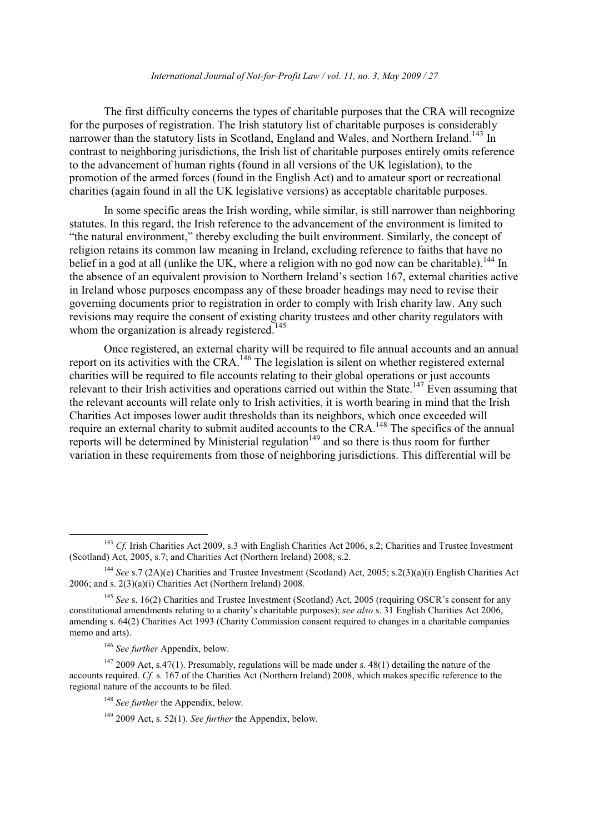### International Journal of Not-for-Profit Law / vol. 11, no. 3, May 2009 / 27

The first difficulty concerns the types of charitable purposes that the CRA will recognize for the purposes of registration. The Irish statutory list of charitable purposes is considerably narrower than the statutory lists in Scotland, England and Wales, and Northern Ireland.<sup>143</sup> In contrast to neighboring jurisdictions, the Irish list of charitable purposes entirely omits reference to the advancement of human rights (found in all versions of the UK legislation), to the promotion of the armed forces (found in the English Act) and to amateur sport or recreational charities (again found in all the UK legislative versions) as acceptable charitable purposes.

In some specific areas the Irish wording, while similar, is still narrower than neighboring statutes. In this regard, the Irish reference to the advancement of the environment is limited to "the natural environment," thereby excluding the built environment. Similarly, the concept of religion retains its common law meaning in Ireland, excluding reference to faiths that have no belief in a god at all (unlike the UK, where a religion with no god now can be charitable).<sup>144</sup> In the absence of an equivalent provision to Northern Ireland's section 167, external charities active in Ireland whose purposes encompass any of these broader headings may need to revise their governing documents prior to registration in order to comply with Irish charity law. Any such revisions may require the consent of existing charity trustees and other charity regulators with whom the organization is already registered.<sup>145</sup>

Once registered, an external charity will be required to file annual accounts and an annual report on its activities with the CRA.<sup>146</sup> The legislation is silent on whether registered external charities will be required to file accounts relating to their global operations or just accounts relevant to their Irish activities and operations carried out within the State.<sup>147</sup> Even assuming that the relevant accounts will relate only to Irish activities, it is worth bearing in mind that the Irish Charities Act imposes lower audit thresholds than its neighbors, which once exceeded will require an external charity to submit audited accounts to the CRA.<sup>148</sup> The specifics of the annual reports will be determined by Ministerial regulation<sup>149</sup> and so there is thus room for further variation in these requirements from those of neighboring jurisdictions. This differential will be

 $^{143}$  Cf. Irish Charities Act 2009, s.3 with English Charities Act 2006, s.2; Charities and Trustee Investment (Scotland) Act, 2005, s.7; and Charities Act (Northern Ireland) 2008. s.2.

<sup>&</sup>lt;sup>144</sup> See s.7 (2A)(e) Charities and Trustee Investment (Scotland) Act, 2005; s.2(3)(a)(i) English Charities Act 2006; and s.  $2(3)(a)(i)$  Charities Act (Northern Ireland) 2008.

<sup>&</sup>lt;sup>145</sup> See s. 16(2) Charities and Trustee Investment (Scotland) Act, 2005 (requiring OSCR's consent for any constitutional amendments relating to a charity's charitable purposes); see also s. 31 English Charities Act 2006, amending s. 64(2) Charities Act 1993 (Charity Commission consent required to changes in a charitable companies memo and arts).

<sup>&</sup>lt;sup>146</sup> See further Appendix, below.

 $147$  2009 Act, s.47(1). Presumably, regulations will be made under s. 48(1) detailing the nature of the accounts required. Cf. s. 167 of the Charities Act (Northern Ireland) 2008, which makes specific reference to the regional nature of the accounts to be filed.

 $148$  See further the Appendix, below.

 $149$  2009 Act, s. 52(1). See further the Appendix, below.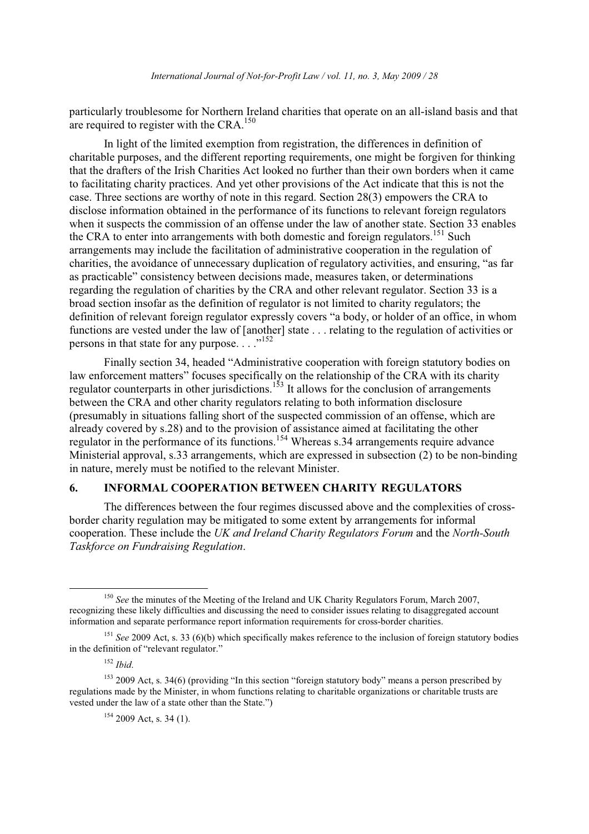particularly troublesome for Northern Ireland charities that operate on an all-island basis and that are required to register with the CRA.<sup>150</sup>

In light of the limited exemption from registration, the differences in definition of charitable purposes, and the different reporting requirements, one might be forgiven for thinking that the drafters of the Irish Charities Act looked no further than their own borders when it came to facilitating charity practices. And yet other provisions of the Act indicate that this is not the case. Three sections are worthy of note in this regard. Section 28(3) empowers the CRA to disclose information obtained in the performance of its functions to relevant foreign regulators when it suspects the commission of an offense under the law of another state. Section 33 enables the CRA to enter into arrangements with both domestic and foreign regulators.<sup>151</sup> Such arrangements may include the facilitation of administrative cooperation in the regulation of charities, the avoidance of unnecessary duplication of regulatory activities, and ensuring, "as far as practicable" consistency between decisions made, measures taken, or determinations regarding the regulation of charities by the CRA and other relevant regulator. Section 33 is a broad section insofar as the definition of regulator is not limited to charity regulators: the definition of relevant foreign regulator expressly covers "a body, or holder of an office, in whom functions are vested under the law of [another] state . . . relating to the regulation of activities or persons in that state for any purpose..." $^{152}$ 

Finally section 34, headed "Administrative cooperation with foreign statutory bodies on law enforcement matters" focuses specifically on the relationship of the CRA with its charity regulator counterparts in other jurisdictions.<sup>153</sup> It allows for the conclusion of arrangements between the CRA and other charity regulators relating to both information disclosure (presumably in situations falling short of the suspected commission of an offense, which are already covered by s.28) and to the provision of assistance aimed at facilitating the other regulator in the performance of its functions.<sup>154</sup> Whereas s.34 arrangements require advance Ministerial approval, s.33 arrangements, which are expressed in subsection  $(2)$  to be non-binding in nature, merely must be notified to the relevant Minister.

### **INFORMAL COOPERATION BETWEEN CHARITY REGULATORS** 6.

The differences between the four regimes discussed above and the complexities of crossborder charity regulation may be mitigated to some extent by arrangements for informal cooperation. These include the UK and Ireland Charity Regulators Forum and the North-South Taskforce on Fundraising Regulation.

 $152$  Ibid.

 $154$  2009 Act, s. 34 (1).

<sup>&</sup>lt;sup>150</sup> See the minutes of the Meeting of the Ireland and UK Charity Regulators Forum, March 2007, recognizing these likely difficulties and discussing the need to consider issues relating to disaggregated account information and separate performance report information requirements for cross-border charities.

<sup>&</sup>lt;sup>151</sup> See 2009 Act, s. 33 (6)(b) which specifically makes reference to the inclusion of foreign statutory bodies in the definition of "relevant regulator."

 $153$  2009 Act, s. 34(6) (providing "In this section "foreign statutory body" means a person prescribed by regulations made by the Minister, in whom functions relating to charitable organizations or charitable trusts are vested under the law of a state other than the State.")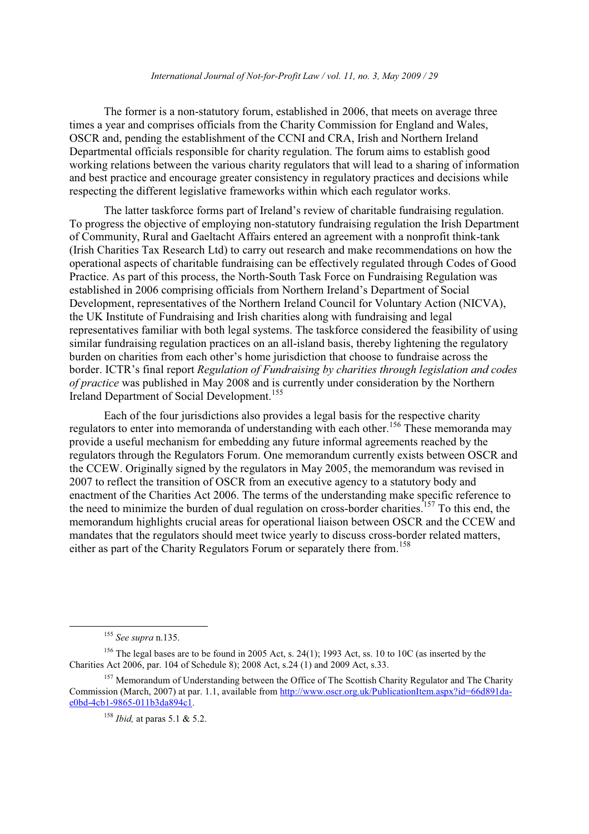The former is a non-statutory forum, established in 2006, that meets on average three times a year and comprises officials from the Charity Commission for England and Wales, OSCR and, pending the establishment of the CCNI and CRA, Irish and Northern Ireland Departmental officials responsible for charity regulation. The forum aims to establish good working relations between the various charity regulators that will lead to a sharing of information and best practice and encourage greater consistency in regulatory practices and decisions while respecting the different legislative frameworks within which each regulator works.

The latter taskforce forms part of Ireland's review of charitable fundraising regulation. To progress the objective of employing non-statutory fundraising regulation the Irish Department of Community, Rural and Gaeltacht Affairs entered an agreement with a nonprofit think-tank (Irish Charities Tax Research Ltd) to carry out research and make recommendations on how the operational aspects of charitable fundraising can be effectively regulated through Codes of Good Practice. As part of this process, the North-South Task Force on Fundraising Regulation was established in 2006 comprising officials from Northern Ireland's Department of Social Development, representatives of the Northern Ireland Council for Voluntary Action (NICVA), the UK Institute of Fundraising and Irish charities along with fundraising and legal representatives familiar with both legal systems. The taskforce considered the feasibility of using similar fundraising regulation practices on an all-island basis, thereby lightening the regulatory burden on charities from each other's home jurisdiction that choose to fundraise across the border. ICTR's final report Regulation of Fundraising by charities through legislation and codes of practice was published in May 2008 and is currently under consideration by the Northern Ireland Department of Social Development.<sup>155</sup>

Each of the four jurisdictions also provides a legal basis for the respective charity regulators to enter into memoranda of understanding with each other.<sup>156</sup> These memoranda may provide a useful mechanism for embedding any future informal agreements reached by the regulators through the Regulators Forum. One memorandum currently exists between OSCR and the CCEW. Originally signed by the regulators in May 2005, the memorandum was revised in 2007 to reflect the transition of OSCR from an executive agency to a statutory body and enactment of the Charities Act 2006. The terms of the understanding make specific reference to the need to minimize the burden of dual regulation on cross-border charities.<sup>157</sup> To this end, the memorandum highlights crucial areas for operational liaison between OSCR and the CCEW and mandates that the regulators should meet twice yearly to discuss cross-border related matters, either as part of the Charity Regulators Forum or separately there from.<sup>158</sup>

 $155$  See supra n.135.

<sup>&</sup>lt;sup>156</sup> The legal bases are to be found in 2005 Act, s. 24(1); 1993 Act, ss. 10 to 10C (as inserted by the Charities Act 2006, par. 104 of Schedule 8); 2008 Act, s.24 (1) and 2009 Act, s.33.

<sup>&</sup>lt;sup>157</sup> Memorandum of Understanding between the Office of The Scottish Charity Regulator and The Charity Commission (March, 2007) at par. 1.1, available from http://www.oscr.org.uk/PublicationItem.aspx?id=66d891dae0bd-4cb1-9865-011b3da894c1.

 $158$  *Ibid*, at paras 5.1 & 5.2.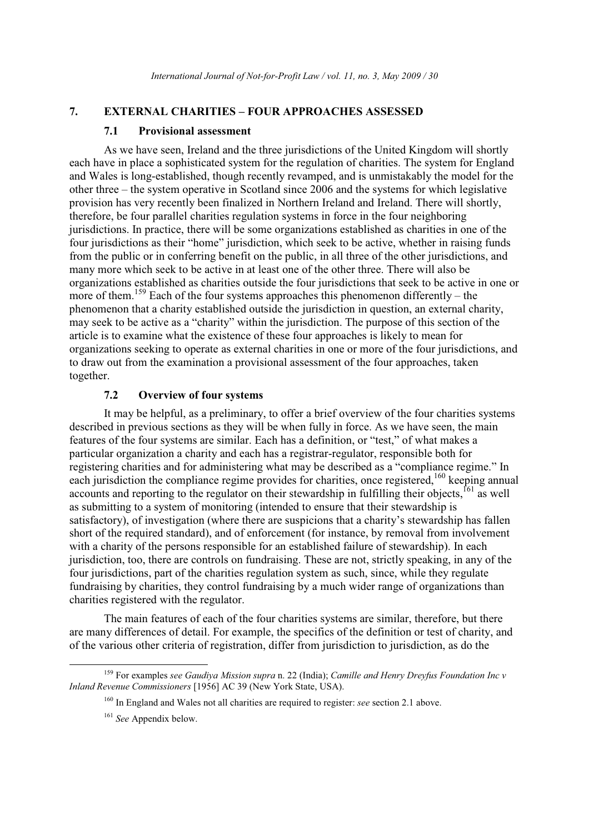#### 7. **EXTERNAL CHARITIES - FOUR APPROACHES ASSESSED**

#### $7.1$ **Provisional assessment**

As we have seen. Ireland and the three jurisdictions of the United Kingdom will shortly each have in place a sophisticated system for the regulation of charities. The system for England and Wales is long-established, though recently revamped, and is unmistakably the model for the other three – the system operative in Scotland since 2006 and the systems for which legislative provision has very recently been finalized in Northern Ireland and Ireland. There will shortly, therefore, be four parallel charities regulation systems in force in the four neighboring jurisdictions. In practice, there will be some organizations established as charities in one of the four jurisdictions as their "home" jurisdiction, which seek to be active, whether in raising funds from the public or in conferring benefit on the public, in all three of the other jurisdictions, and many more which seek to be active in at least one of the other three. There will also be organizations established as charities outside the four jurisdictions that seek to be active in one or more of them.<sup>159</sup> Each of the four systems approaches this phenomenon differently – the phenomenon that a charity established outside the jurisdiction in question, an external charity, may seek to be active as a "charity" within the jurisdiction. The purpose of this section of the article is to examine what the existence of these four approaches is likely to mean for organizations seeking to operate as external charities in one or more of the four jurisdictions, and to draw out from the examination a provisional assessment of the four approaches, taken together.

#### $7.2$ **Overview of four systems**

It may be helpful, as a preliminary, to offer a brief overview of the four charities systems described in previous sections as they will be when fully in force. As we have seen, the main features of the four systems are similar. Each has a definition, or "test," of what makes a particular organization a charity and each has a registrar-regulator, responsible both for registering charities and for administering what may be described as a "compliance regime." In each jurisdiction the compliance regime provides for charities, once registered,<sup>160</sup> keeping annual accounts and reporting to the regulator on their stewardship in fulfilling their objects, <sup>161</sup> as well as submitting to a system of monitoring (intended to ensure that their stewardship is satisfactory), of investigation (where there are suspicions that a charity's stewardship has fallen short of the required standard), and of enforcement (for instance, by removal from involvement with a charity of the persons responsible for an established failure of stewardship). In each jurisdiction, too, there are controls on fundraising. These are not, strictly speaking, in any of the four jurisdictions, part of the charities regulation system as such, since, while they regulate fundraising by charities, they control fundraising by a much wider range of organizations than charities registered with the regulator.

The main features of each of the four charities systems are similar, therefore, but there are many differences of detail. For example, the specifics of the definition or test of charity, and of the various other criteria of registration, differ from jurisdiction to jurisdiction, as do the

<sup>&</sup>lt;sup>159</sup> For examples see Gaudiya Mission supra n. 22 (India); Camille and Henry Dreyfus Foundation Inc v Inland Revenue Commissioners [1956] AC 39 (New York State, USA).

 $160$  In England and Wales not all charities are required to register: see section 2.1 above.

<sup>&</sup>lt;sup>161</sup> See Appendix below.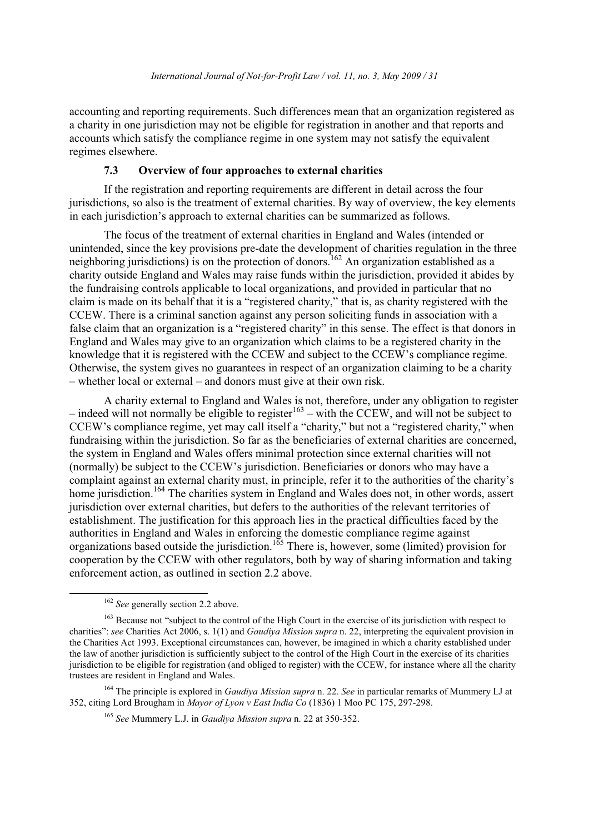accounting and reporting requirements. Such differences mean that an organization registered as a charity in one jurisdiction may not be eligible for registration in another and that reports and accounts which satisfy the compliance regime in one system may not satisfy the equivalent regimes elsewhere.

### $7.3$ Overview of four approaches to external charities

If the registration and reporting requirements are different in detail across the four jurisdictions, so also is the treatment of external charities. By way of overview, the key elements in each jurisdiction's approach to external charities can be summarized as follows.

The focus of the treatment of external charities in England and Wales (intended or unintended, since the key provisions pre-date the development of charities regulation in the three neighboring jurisdictions) is on the protection of donors.<sup>162</sup> An organization established as a charity outside England and Wales may raise funds within the jurisdiction, provided it abides by the fundraising controls applicable to local organizations, and provided in particular that no claim is made on its behalf that it is a "registered charity," that is, as charity registered with the CCEW. There is a criminal sanction against any person soliciting funds in association with a false claim that an organization is a "registered charity" in this sense. The effect is that donors in England and Wales may give to an organization which claims to be a registered charity in the knowledge that it is registered with the CCEW and subject to the CCEW's compliance regime. Otherwise, the system gives no guarantees in respect of an organization claiming to be a charity - whether local or external – and donors must give at their own risk.

A charity external to England and Wales is not, therefore, under any obligation to register – indeed will not normally be eligible to register<sup>163</sup> – with the CCEW, and will not be subject to CCEW's compliance regime, yet may call itself a "charity," but not a "registered charity," when fundraising within the jurisdiction. So far as the beneficiaries of external charities are concerned, the system in England and Wales offers minimal protection since external charities will not (normally) be subject to the CCEW's jurisdiction. Beneficiaries or donors who may have a complaint against an external charity must, in principle, refer it to the authorities of the charity's home jurisdiction.<sup>164</sup> The charities system in England and Wales does not, in other words, assert jurisdiction over external charities, but defers to the authorities of the relevant territories of establishment. The justification for this approach lies in the practical difficulties faced by the authorities in England and Wales in enforcing the domestic compliance regime against<br>organizations based outside the jurisdiction.<sup>165</sup> There is, however, some (limited) provision for cooperation by the CCEW with other regulators, both by way of sharing information and taking enforcement action, as outlined in section 2.2 above.

 $162$  See generally section 2.2 above.

<sup>&</sup>lt;sup>163</sup> Because not "subject to the control of the High Court in the exercise of its jurisdiction with respect to charities": see Charities Act 2006, s. 1(1) and *Gaudiva Mission supra* n. 22, interpreting the equivalent provision in the Charities Act 1993. Exceptional circumstances can, however, be imagined in which a charity established under the law of another jurisdiction is sufficiently subject to the control of the High Court in the exercise of its charities jurisdiction to be eligible for registration (and obliged to register) with the CCEW, for instance where all the charity trustees are resident in England and Wales.

<sup>&</sup>lt;sup>164</sup> The principle is explored in *Gaudiva Mission supra* n. 22. *See* in particular remarks of Mummery LJ at 352, citing Lord Brougham in Mayor of Lyon v East India Co (1836) 1 Moo PC 175, 297-298.

<sup>&</sup>lt;sup>165</sup> See Mummery L.J. in *Gaudiva Mission supra* n. 22 at 350-352.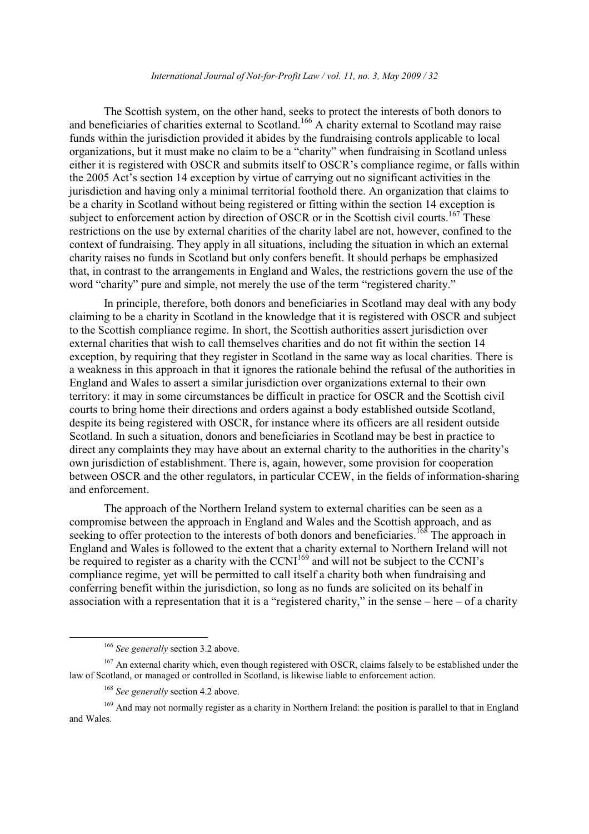### International Journal of Not-for-Profit Law / vol. 11, no. 3, May 2009 / 32

The Scottish system, on the other hand, seeks to protect the interests of both donors to and beneficiaries of charities external to Scotland.<sup>166</sup> A charity external to Scotland may raise funds within the jurisdiction provided it abides by the fundraising controls applicable to local organizations, but it must make no claim to be a "charity" when fundraising in Scotland unless either it is registered with OSCR and submits itself to OSCR's compliance regime, or falls within the 2005 Act's section 14 exception by virtue of carrying out no significant activities in the jurisdiction and having only a minimal territorial foothold there. An organization that claims to be a charity in Scotland without being registered or fitting within the section 14 exception is subject to enforcement action by direction of OSCR or in the Scottish civil courts.<sup>167</sup> These restrictions on the use by external charities of the charity label are not, however, confined to the context of fundraising. They apply in all situations, including the situation in which an external charity raises no funds in Scotland but only confers benefit. It should perhaps be emphasized that, in contrast to the arrangements in England and Wales, the restrictions govern the use of the word "charity" pure and simple, not merely the use of the term "registered charity."

In principle, therefore, both donors and beneficiaries in Scotland may deal with any body claiming to be a charity in Scotland in the knowledge that it is registered with OSCR and subject to the Scottish compliance regime. In short, the Scottish authorities assert jurisdiction over external charities that wish to call themselves charities and do not fit within the section 14 exception, by requiring that they register in Scotland in the same way as local charities. There is a weakness in this approach in that it ignores the rationale behind the refusal of the authorities in England and Wales to assert a similar jurisdiction over organizations external to their own territory: it may in some circumstances be difficult in practice for OSCR and the Scottish civil courts to bring home their directions and orders against a body established outside Scotland, despite its being registered with OSCR, for instance where its officers are all resident outside Scotland. In such a situation, donors and beneficiaries in Scotland may be best in practice to direct any complaints they may have about an external charity to the authorities in the charity's own jurisdiction of establishment. There is, again, however, some provision for cooperation between OSCR and the other regulators, in particular CCEW, in the fields of information-sharing and enforcement.

The approach of the Northern Ireland system to external charities can be seen as a compromise between the approach in England and Wales and the Scottish approach, and as seeking to offer protection to the interests of both donors and beneficiaries.<sup>168</sup> The approach in England and Wales is followed to the extent that a charity external to Northern Ireland will not be required to register as a charity with the CCNI<sup>169</sup> and will not be subject to the CCNI's compliance regime, yet will be permitted to call itself a charity both when fundraising and conferring benefit within the jurisdiction, so long as no funds are solicited on its behalf in association with a representation that it is a "registered charity," in the sense – here – of a charity

 $166$  See generally section 3.2 above.

 $167$  An external charity which, even though registered with OSCR, claims falsely to be established under the law of Scotland, or managed or controlled in Scotland, is likewise liable to enforcement action.

 $168$  See generally section 4.2 above.

<sup>&</sup>lt;sup>169</sup> And may not normally register as a charity in Northern Ireland: the position is parallel to that in England and Wales.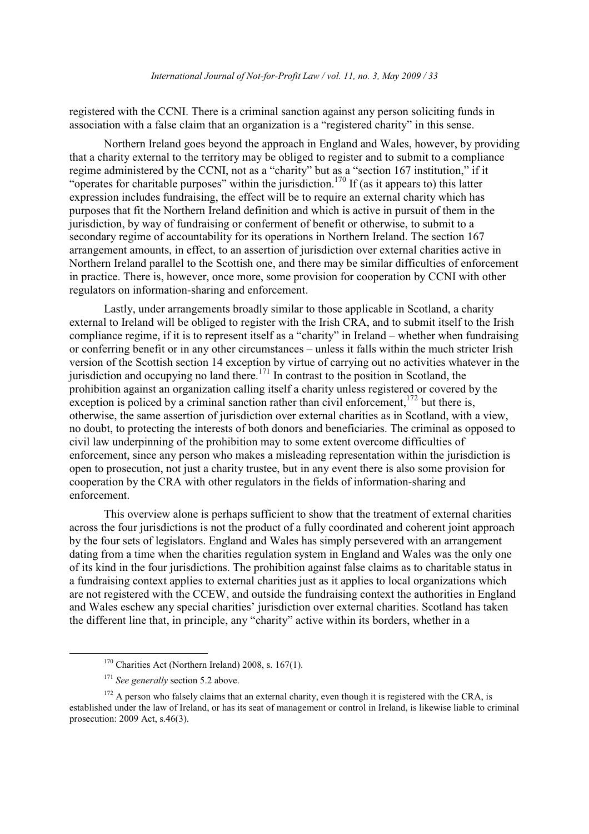registered with the CCNI. There is a criminal sanction against any person soliciting funds in association with a false claim that an organization is a "registered charity" in this sense.

Northern Ireland goes beyond the approach in England and Wales, however, by providing that a charity external to the territory may be obliged to register and to submit to a compliance regime administered by the CCNI, not as a "charity" but as a "section 167 institution," if it "operates for charitable purposes" within the jurisdiction.<sup>170</sup> If (as it appears to) this latter expression includes fundraising, the effect will be to require an external charity which has purposes that fit the Northern Ireland definition and which is active in pursuit of them in the jurisdiction, by way of fundraising or conferment of benefit or otherwise, to submit to a secondary regime of accountability for its operations in Northern Ireland. The section 167 arrangement amounts, in effect, to an assertion of jurisdiction over external charities active in Northern Ireland parallel to the Scottish one, and there may be similar difficulties of enforcement in practice. There is, however, once more, some provision for cooperation by CCNI with other regulators on information-sharing and enforcement.

Lastly, under arrangements broadly similar to those applicable in Scotland, a charity external to Ireland will be obliged to register with the Irish CRA, and to submit itself to the Irish compliance regime, if it is to represent itself as a "charity" in Ireland – whether when fundraising or conferring benefit or in any other circumstances – unless it falls within the much stricter Irish version of the Scottish section 14 exception by virtue of carrying out no activities whatever in the jurisdiction and occupying no land there.<sup>171</sup> In contrast to the position in Scotland, the prohibition against an organization calling itself a charity unless registered or covered by the exception is policed by a criminal sanction rather than civil enforcement,  $^{172}$  but there is, otherwise, the same assertion of jurisdiction over external charities as in Scotland, with a view, no doubt, to protecting the interests of both donors and beneficiaries. The criminal as opposed to civil law underpinning of the prohibition may to some extent overcome difficulties of enforcement, since any person who makes a misleading representation within the jurisdiction is open to prosecution, not just a charity trustee, but in any event there is also some provision for cooperation by the CRA with other regulators in the fields of information-sharing and enforcement

This overview alone is perhaps sufficient to show that the treatment of external charities across the four jurisdictions is not the product of a fully coordinated and coherent joint approach by the four sets of legislators. England and Wales has simply persevered with an arrangement dating from a time when the charities regulation system in England and Wales was the only one of its kind in the four jurisdictions. The prohibition against false claims as to charitable status in a fundraising context applies to external charities just as it applies to local organizations which are not registered with the CCEW, and outside the fundraising context the authorities in England and Wales eschew any special charities' jurisdiction over external charities. Scotland has taken the different line that, in principle, any "charity" active within its borders, whether in a

 $170$  Charities Act (Northern Ireland) 2008, s. 167(1).

 $171$  See generally section 5.2 above.

 $172$  A person who falsely claims that an external charity, even though it is registered with the CRA, is established under the law of Ireland, or has its seat of management or control in Ireland, is likewise liable to criminal prosecution:  $2009$  Act, s.46(3).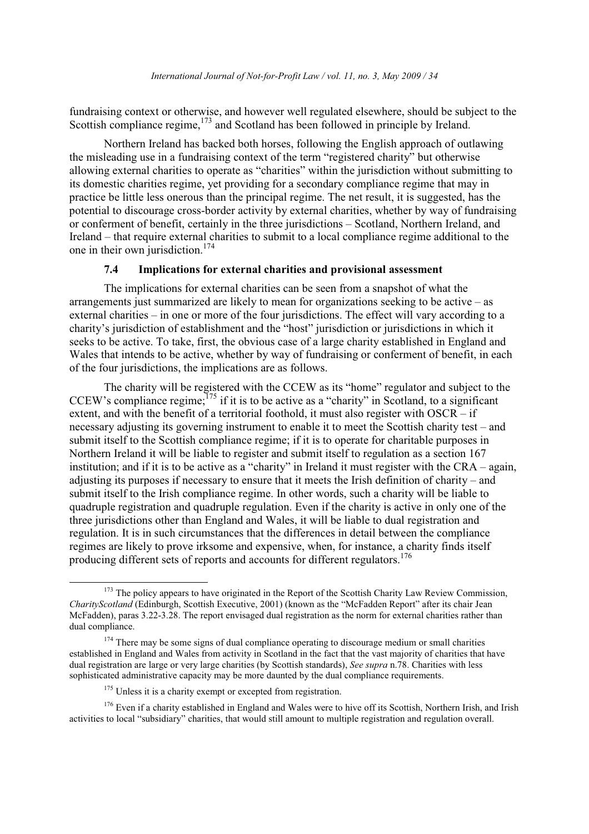fundraising context or otherwise, and however well regulated elsewhere, should be subject to the Scottish compliance regime,<sup>173</sup> and Scotland has been followed in principle by Ireland.

Northern Ireland has backed both horses, following the English approach of outlawing the misleading use in a fundraising context of the term "registered charity" but otherwise allowing external charities to operate as "charities" within the jurisdiction without submitting to its domestic charities regime, yet providing for a secondary compliance regime that may in practice be little less onerous than the principal regime. The net result, it is suggested, has the potential to discourage cross-border activity by external charities, whether by way of fundraising or conferment of benefit, certainly in the three jurisdictions – Scotland, Northern Ireland, and Ireland – that require external charities to submit to a local compliance regime additional to the one in their own jurisdiction.<sup>174</sup>

#### $7.4$ Implications for external charities and provisional assessment

The implications for external charities can be seen from a snapshot of what the arrangements just summarized are likely to mean for organizations seeking to be active  $-$  as external charities – in one or more of the four jurisdictions. The effect will vary according to a charity's jurisdiction of establishment and the "host" jurisdiction or jurisdictions in which it seeks to be active. To take, first, the obvious case of a large charity established in England and Wales that intends to be active, whether by way of fundraising or conferment of benefit, in each of the four jurisdictions, the implications are as follows.

The charity will be registered with the CCEW as its "home" regulator and subject to the CCEW's compliance regime;  $^{175}$  if it is to be active as a "charity" in Scotland, to a significant extent, and with the benefit of a territorial foothold, it must also register with  $OSCR - if$ necessary adjusting its governing instrument to enable it to meet the Scottish charity test – and submit itself to the Scottish compliance regime; if it is to operate for charitable purposes in Northern Ireland it will be liable to register and submit itself to regulation as a section 167 institution; and if it is to be active as a "charity" in Ireland it must register with the CRA – again, adjusting its purposes if necessary to ensure that it meets the Irish definition of charity – and submit itself to the Irish compliance regime. In other words, such a charity will be liable to quadruple registration and quadruple regulation. Even if the charity is active in only one of the three jurisdictions other than England and Wales, it will be liable to dual registration and regulation. It is in such circumstances that the differences in detail between the compliance regimes are likely to prove irksome and expensive, when, for instance, a charity finds itself producing different sets of reports and accounts for different regulators.<sup>176</sup>

<sup>176</sup> Even if a charity established in England and Wales were to hive off its Scottish, Northern Irish, and Irish activities to local "subsidiary" charities, that would still amount to multiple registration and regulation overall.

<sup>&</sup>lt;sup>173</sup> The policy appears to have originated in the Report of the Scottish Charity Law Review Commission, CharityScotland (Edinburgh, Scottish Executive, 2001) (known as the "McFadden Report" after its chair Jean McFadden), paras 3.22-3.28. The report envisaged dual registration as the norm for external charities rather than dual compliance.

<sup>&</sup>lt;sup>174</sup> There may be some signs of dual compliance operating to discourage medium or small charities established in England and Wales from activity in Scotland in the fact that the vast majority of charities that have dual registration are large or very large charities (by Scottish standards), See supra n.78. Charities with less sophisticated administrative capacity may be more daunted by the dual compliance requirements.

 $175$  Unless it is a charity exempt or excepted from registration.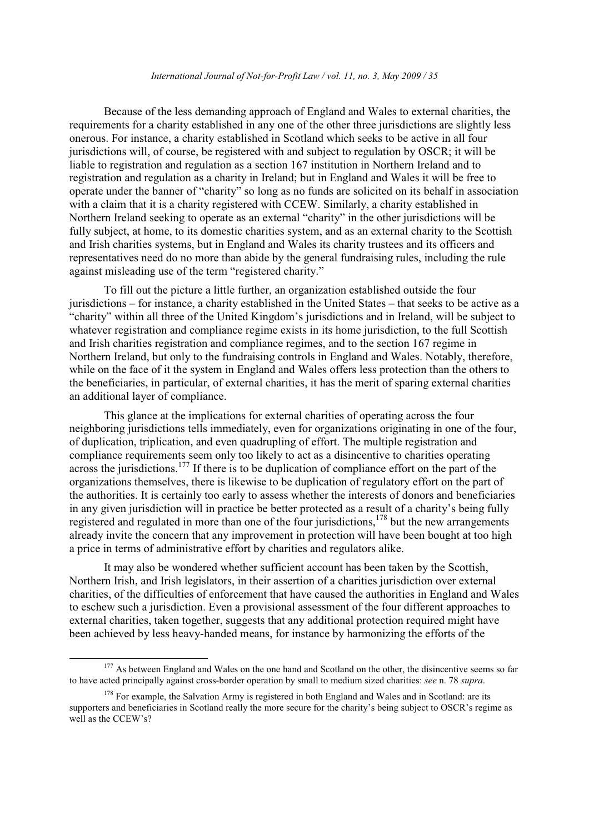### International Journal of Not-for-Profit Law / vol. 11, no. 3, May 2009 / 35

Because of the less demanding approach of England and Wales to external charities, the requirements for a charity established in any one of the other three jurisdictions are slightly less onerous. For instance, a charity established in Scotland which seeks to be active in all four jurisdictions will, of course, be registered with and subject to regulation by OSCR; it will be liable to registration and regulation as a section 167 institution in Northern Ireland and to registration and regulation as a charity in Ireland; but in England and Wales it will be free to operate under the banner of "charity" so long as no funds are solicited on its behalf in association with a claim that it is a charity registered with CCEW. Similarly, a charity established in Northern Ireland seeking to operate as an external "charity" in the other jurisdictions will be fully subject, at home, to its domestic charities system, and as an external charity to the Scottish and Irish charities systems, but in England and Wales its charity trustees and its officers and representatives need do no more than abide by the general fundraising rules, including the rule against misleading use of the term "registered charity."

To fill out the picture a little further, an organization established outside the four jurisdictions – for instance, a charity established in the United States – that seeks to be active as a "charity" within all three of the United Kingdom's jurisdictions and in Ireland, will be subject to whatever registration and compliance regime exists in its home jurisdiction, to the full Scottish and Irish charities registration and compliance regimes, and to the section 167 regime in Northern Ireland, but only to the fundraising controls in England and Wales. Notably, therefore, while on the face of it the system in England and Wales offers less protection than the others to the beneficiaries, in particular, of external charities, it has the merit of sparing external charities an additional layer of compliance.

This glance at the implications for external charities of operating across the four neighboring jurisdictions tells immediately, even for organizations originating in one of the four. of duplication, triplication, and even quadrupling of effort. The multiple registration and compliance requirements seem only too likely to act as a disincentive to charities operating across the jurisdictions.<sup>177</sup> If there is to be duplication of compliance effort on the part of the organizations themselves, there is likewise to be duplication of regulatory effort on the part of the authorities. It is certainly too early to assess whether the interests of donors and beneficiaries in any given jurisdiction will in practice be better protected as a result of a charity's being fully registered and regulated in more than one of the four jurisdictions,  $178$  but the new arrangements already invite the concern that any improvement in protection will have been bought at too high a price in terms of administrative effort by charities and regulators alike.

It may also be wondered whether sufficient account has been taken by the Scottish, Northern Irish, and Irish legislators, in their assertion of a charities jurisdiction over external charities, of the difficulties of enforcement that have caused the authorities in England and Wales to eschew such a jurisdiction. Even a provisional assessment of the four different approaches to external charities, taken together, suggests that any additional protection required might have been achieved by less heavy-handed means, for instance by harmonizing the efforts of the

<sup>&</sup>lt;sup>177</sup> As between England and Wales on the one hand and Scotland on the other, the disincentive seems so far to have acted principally against cross-border operation by small to medium sized charities: see n. 78 supra.

<sup>&</sup>lt;sup>178</sup> For example, the Salvation Army is registered in both England and Wales and in Scotland: are its supporters and beneficiaries in Scotland really the more secure for the charity's being subject to OSCR's regime as well as the CCEW's?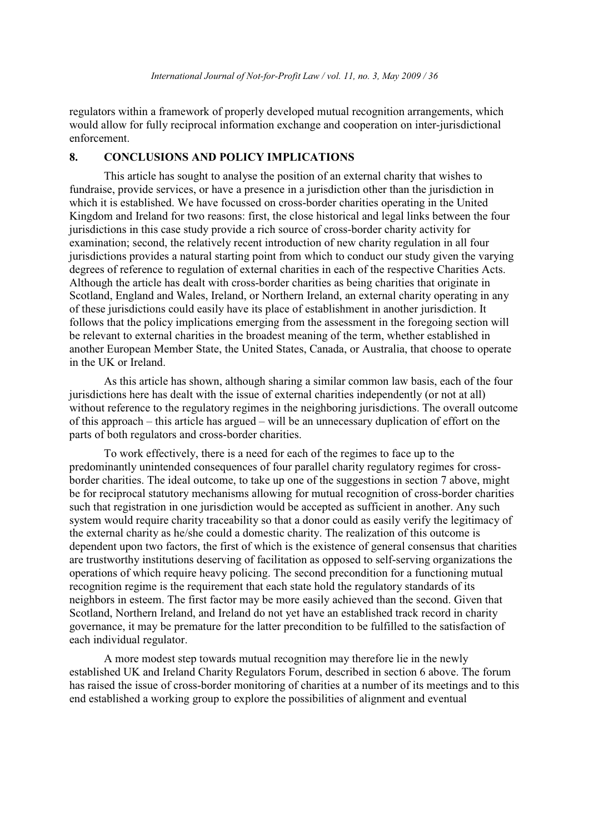regulators within a framework of properly developed mutual recognition arrangements, which would allow for fully reciprocal information exchange and cooperation on inter-jurisdictional enforcement.

#### **CONCLUSIONS AND POLICY IMPLICATIONS** 8.

This article has sought to analyse the position of an external charity that wishes to fundraise, provide services, or have a presence in a jurisdiction other than the jurisdiction in which it is established. We have focussed on cross-border charities operating in the United Kingdom and Ireland for two reasons: first, the close historical and legal links between the four jurisdictions in this case study provide a rich source of cross-border charity activity for examination; second, the relatively recent introduction of new charity regulation in all four jurisdictions provides a natural starting point from which to conduct our study given the varying degrees of reference to regulation of external charities in each of the respective Charities Acts. Although the article has dealt with cross-border charities as being charities that originate in Scotland, England and Wales, Ireland, or Northern Ireland, an external charity operating in any of these jurisdictions could easily have its place of establishment in another jurisdiction. It follows that the policy implications emerging from the assessment in the foregoing section will be relevant to external charities in the broadest meaning of the term, whether established in another European Member State, the United States, Canada, or Australia, that choose to operate in the UK or Ireland.

As this article has shown, although sharing a similar common law basis, each of the four jurisdictions here has dealt with the issue of external charities independently (or not at all) without reference to the regulatory regimes in the neighboring jurisdictions. The overall outcome of this approach – this article has argued – will be an unnecessary duplication of effort on the parts of both regulators and cross-border charities.

To work effectively, there is a need for each of the regimes to face up to the predominantly unintended consequences of four parallel charity regulatory regimes for crossborder charities. The ideal outcome, to take up one of the suggestions in section 7 above, might be for reciprocal statutory mechanisms allowing for mutual recognition of cross-border charities such that registration in one jurisdiction would be accepted as sufficient in another. Any such system would require charity traceability so that a donor could as easily verify the legitimacy of the external charity as he/she could a domestic charity. The realization of this outcome is dependent upon two factors, the first of which is the existence of general consensus that charities are trustworthy institutions deserving of facilitation as opposed to self-serving organizations the operations of which require heavy policing. The second precondition for a functioning mutual recognition regime is the requirement that each state hold the regulatory standards of its neighbors in esteem. The first factor may be more easily achieved than the second. Given that Scotland, Northern Ireland, and Ireland do not yet have an established track record in charity governance, it may be premature for the latter precondition to be fulfilled to the satisfaction of each individual regulator.

A more modest step towards mutual recognition may therefore lie in the newly established UK and Ireland Charity Regulators Forum, described in section 6 above. The forum has raised the issue of cross-border monitoring of charities at a number of its meetings and to this end established a working group to explore the possibilities of alignment and eventual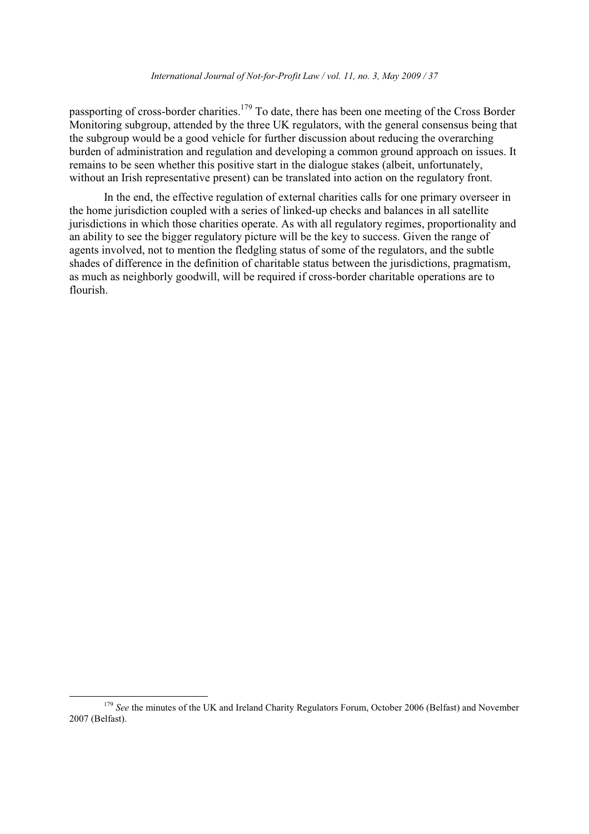passporting of cross-border charities.<sup>179</sup> To date, there has been one meeting of the Cross Border Monitoring subgroup, attended by the three UK regulators, with the general consensus being that the subgroup would be a good vehicle for further discussion about reducing the overarching burden of administration and regulation and developing a common ground approach on issues. It remains to be seen whether this positive start in the dialogue stakes (albeit, unfortunately, without an Irish representative present) can be translated into action on the regulatory front.

In the end, the effective regulation of external charities calls for one primary overseer in the home jurisdiction coupled with a series of linked-up checks and balances in all satellite jurisdictions in which those charities operate. As with all regulatory regimes, proportionality and an ability to see the bigger regulatory picture will be the key to success. Given the range of agents involved, not to mention the fledgling status of some of the regulators, and the subtle shades of difference in the definition of charitable status between the jurisdictions, pragmatism, as much as neighborly goodwill, will be required if cross-border charitable operations are to flourish.

<sup>&</sup>lt;sup>179</sup> See the minutes of the UK and Ireland Charity Regulators Forum, October 2006 (Belfast) and November 2007 (Belfast).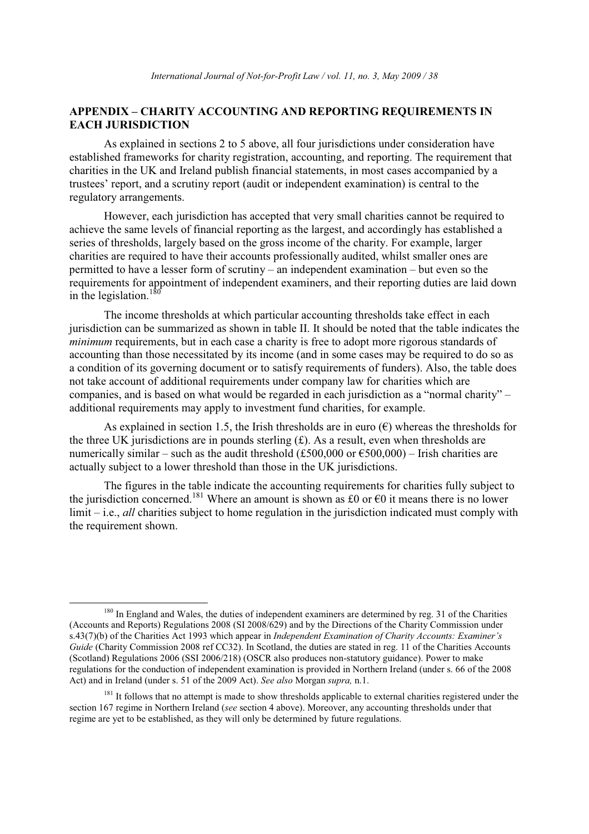### APPENDIX - CHARITY ACCOUNTING AND REPORTING REQUIREMENTS IN **EACH JURISDICTION**

As explained in sections 2 to 5 above, all four jurisdictions under consideration have established frameworks for charity registration, accounting, and reporting. The requirement that charities in the UK and Ireland publish financial statements, in most cases accompanied by a trustees' report, and a scrutiny report (audit or independent examination) is central to the regulatory arrangements.

However, each jurisdiction has accepted that very small charities cannot be required to achieve the same levels of financial reporting as the largest, and accordingly has established a series of thresholds, largely based on the gross income of the charity. For example, larger charities are required to have their accounts professionally audited, whilst smaller ones are permitted to have a lesser form of scrutiny – an independent examination – but even so the requirements for appointment of independent examiners, and their reporting duties are laid down in the legislation.<sup>1</sup>

The income thresholds at which particular accounting thresholds take effect in each jurisdiction can be summarized as shown in table II. It should be noted that the table indicates the *minimum* requirements, but in each case a charity is free to adopt more rigorous standards of accounting than those necessitated by its income (and in some cases may be required to do so as a condition of its governing document or to satisfy requirements of funders). Also, the table does not take account of additional requirements under company law for charities which are companies, and is based on what would be regarded in each jurisdiction as a "normal charity" – additional requirements may apply to investment fund charities, for example.

As explained in section 1.5, the Irish thresholds are in euro  $(\epsilon)$  whereas the thresholds for the three UK jurisdictions are in pounds sterling  $(f)$ . As a result, even when thresholds are numerically similar – such as the audit threshold (£500,000 or  $\epsilon$ 500,000) – Irish charities are actually subject to a lower threshold than those in the UK jurisdictions.

The figures in the table indicate the accounting requirements for charities fully subject to the jurisdiction concerned.<sup>181</sup> Where an amount is shown as £0 or  $\epsilon$ 0 it means there is no lower  $limit - i.e., all$  charities subject to home regulation in the jurisdiction indicated must comply with the requirement shown.

<sup>&</sup>lt;sup>180</sup> In England and Wales, the duties of independent examiners are determined by reg. 31 of the Charities (Accounts and Reports) Regulations 2008 (SI 2008/629) and by the Directions of the Charity Commission under s.43(7)(b) of the Charities Act 1993 which appear in Independent Examination of Charity Accounts: Examiner's Guide (Charity Commission 2008 ref CC32). In Scotland, the duties are stated in reg. 11 of the Charities Accounts (Scotland) Regulations 2006 (SSI 2006/218) (OSCR also produces non-statutory guidance). Power to make regulations for the conduction of independent examination is provided in Northern Ireland (under s. 66 of the 2008) Act) and in Ireland (under s. 51 of the 2009 Act). See also Morgan supra, n.1.

<sup>&</sup>lt;sup>181</sup> It follows that no attempt is made to show thresholds applicable to external charities registered under the section 167 regime in Northern Ireland (see section 4 above). Moreover, any accounting thresholds under that regime are yet to be established, as they will only be determined by future regulations.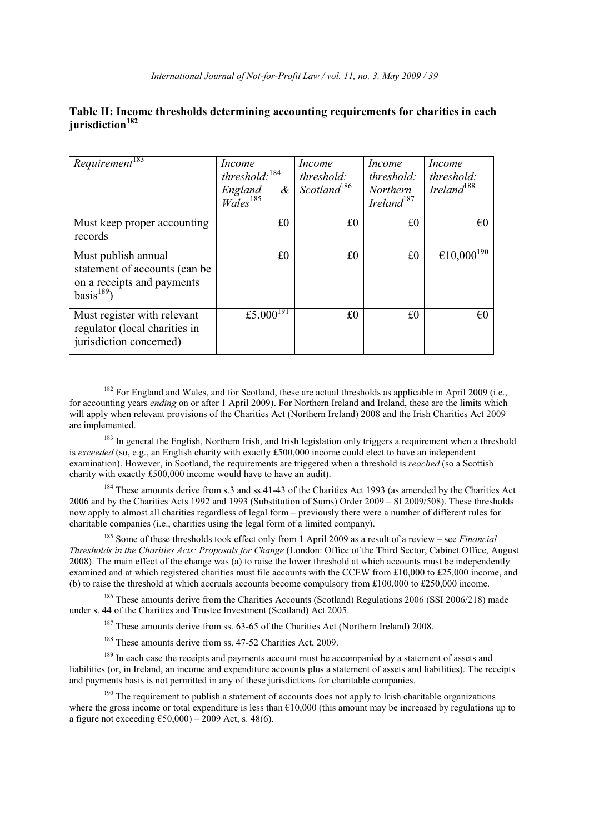### Table II: Income thresholds determining accounting requirements for charities in each jurisdiction<sup>182</sup>

| Requirement <sup>183</sup>                                                                                 | Income<br>threshold: $184$<br>$\alpha$<br>England<br>$Wales$ <sup>185</sup> | <i>Income</i><br>threshold:<br>Scotland <sup>186</sup> | <i>Income</i><br>threshold:<br><b>Northern</b><br>Ireland $187$ | Income<br><i>threshold:</i><br>Ireland <sup>188</sup> |
|------------------------------------------------------------------------------------------------------------|-----------------------------------------------------------------------------|--------------------------------------------------------|-----------------------------------------------------------------|-------------------------------------------------------|
| Must keep proper accounting<br>records                                                                     | £0                                                                          | £0                                                     | $_{\rm f0}$                                                     | $\epsilon$ 0                                          |
| Must publish annual<br>statement of accounts (can be<br>on a receipts and payments<br>basis <sup>189</sup> | £0                                                                          | £0                                                     | £0                                                              | €10,000 <sup>190</sup>                                |
| Must register with relevant<br>regulator (local charities in<br>jurisdiction concerned)                    | £5,000 $^{191}$                                                             | £0                                                     | $_{\rm f0}$                                                     | $\epsilon$ 0                                          |

 $^{182}$  For England and Wales, and for Scotland, these are actual thresholds as applicable in April 2009 (i.e., for accounting years *ending* on or after 1 April 2009). For Northern Ireland and Ireland, these are the limits which will apply when relevant provisions of the Charities Act (Northern Ireland) 2008 and the Irish Charities Act 2009 are implemented.

<sup>183</sup> In general the English, Northern Irish, and Irish legislation only triggers a requirement when a threshold is exceeded (so, e.g., an English charity with exactly £500,000 income could elect to have an independent examination). However, in Scotland, the requirements are triggered when a threshold is *reached* (so a Scottish charity with exactly £500,000 income would have to have an audit).

<sup>184</sup> These amounts derive from s.3 and ss.41-43 of the Charities Act 1993 (as amended by the Charities Act 2006 and by the Charities Acts 1992 and 1993 (Substitution of Sums) Order 2009 – SI 2009/508). These thresholds now apply to almost all charities regardless of legal form – previously there were a number of different rules for charitable companies (i.e., charities using the legal form of a limited company).

<sup>185</sup> Some of these thresholds took effect only from 1 April 2009 as a result of a review – see *Financial* Thresholds in the Charities Acts: Proposals for Change (London: Office of the Third Sector, Cabinet Office, August 2008). The main effect of the change was (a) to raise the lower threshold at which accounts must be independently examined and at which registered charities must file accounts with the CCEW from £10.000 to £25.000 income. and (b) to raise the threshold at which accruals accounts become compulsory from £100,000 to £250,000 income.

<sup>186</sup> These amounts derive from the Charities Accounts (Scotland) Regulations 2006 (SSI 2006/218) made under s. 44 of the Charities and Trustee Investment (Scotland) Act 2005.

<sup>187</sup> These amounts derive from ss. 63-65 of the Charities Act (Northern Ireland) 2008.

 $188$  These amounts derive from ss. 47-52 Charities Act. 2009.

<sup>189</sup> In each case the receipts and payments account must be accompanied by a statement of assets and liabilities (or, in Ireland, an income and expenditure accounts plus a statement of assets and liabilities). The receipts and payments basis is not permitted in any of these jurisdictions for charitable companies.

 $190$  The requirement to publish a statement of accounts does not apply to Irish charitable organizations where the gross income or total expenditure is less than  $\epsilon$ 10,000 (this amount may be increased by regulations up to a figure not exceeding  $\epsilon$ 50,000) – 2009 Act, s. 48(6).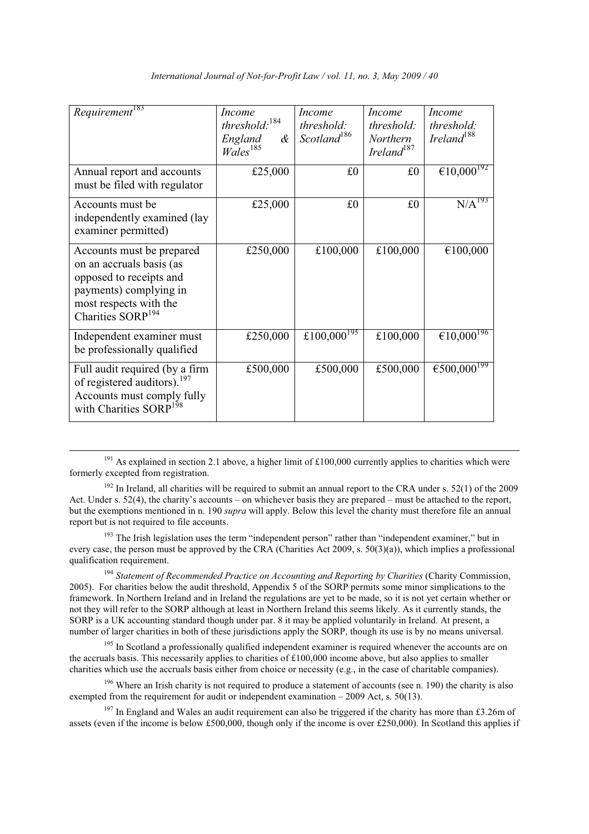| Requirement <sup>183</sup>                                                                                                                                            | <b>Income</b><br>threshold: $184$<br>&<br>England<br>$\bar{W}$ ales <sup>185</sup> | Income<br>threshold:<br>Scotland <sup>186</sup> | Income<br>threshold:<br>Northern<br>Ireland $187$ | <i>Income</i><br>threshold:<br>Ireland $188$ |
|-----------------------------------------------------------------------------------------------------------------------------------------------------------------------|------------------------------------------------------------------------------------|-------------------------------------------------|---------------------------------------------------|----------------------------------------------|
| Annual report and accounts<br>must be filed with regulator                                                                                                            | £25,000                                                                            | £0                                              | £0                                                | €10,000 <sup>192</sup>                       |
| Accounts must be<br>independently examined (lay<br>examiner permitted)                                                                                                | £25,000                                                                            | £0                                              | £0                                                | $N/A^{193}$                                  |
| Accounts must be prepared<br>on an accruals basis (as<br>opposed to receipts and<br>payments) complying in<br>most respects with the<br>Charities SORP <sup>194</sup> | £250,000                                                                           | £100,000                                        | £100,000                                          | €100,000                                     |
| Independent examiner must<br>be professionally qualified                                                                                                              | £250,000                                                                           | £100,000 <sup>195</sup>                         | £100,000                                          | €10,000 <sup>196</sup>                       |
| Full audit required (by a firm<br>of registered auditors). <sup>197</sup><br>Accounts must comply fully<br>with Charities SORP <sup>198</sup>                         | £500,000                                                                           | £500,000                                        | £500,000                                          | €500,000 <sup>T99</sup>                      |

<sup>191</sup> As explained in section 2.1 above, a higher limit of £100,000 currently applies to charities which were formerly excepted from registration.

 $192$  In Ireland, all charities will be required to submit an annual report to the CRA under s. 52(1) of the 2009 Act. Under s. 52(4), the charity's accounts – on whichever basis they are prepared – must be attached to the report, but the exemptions mentioned in n. 190 *supra* will apply. Below this level the charity must therefore file an annual report but is not required to file accounts.

<sup>193</sup> The Irish legislation uses the term "independent person" rather than "independent examiner," but in every case, the person must be approved by the CRA (Charities Act 2009, s.  $50(3)(a)$ ), which implies a professional qualification requirement.

<sup>194</sup> Statement of Recommended Practice on Accounting and Reporting by Charities (Charity Commission, 2005). For charities below the audit threshold, Appendix 5 of the SORP permits some minor simplications to the framework. In Northern Ireland and in Ireland the regulations are yet to be made, so it is not yet certain whether or not they will refer to the SORP although at least in Northern Ireland this seems likely. As it currently stands, the SORP is a UK accounting standard though under par. 8 it may be applied voluntarily in Ireland. At present, a number of larger charities in both of these jurisdictions apply the SORP, though its use is by no means universal.

<sup>195</sup> In Scotland a professionally qualified independent examiner is required whenever the accounts are on the accruals basis. This necessarily applies to charities of  $£100,000$  income above, but also applies to smaller charities which use the accruals basis either from choice or necessity (e.g., in the case of charitable companies).

 $196$  Where an Irish charity is not required to produce a statement of accounts (see n. 190) the charity is also exempted from the requirement for audit or independent examination – 2009 Act, s.  $50(13)$ .

 $^{197}$  In England and Wales an audit requirement can also be triggered if the charity has more than £3.26m of assets (even if the income is below £500,000, though only if the income is over £250,000). In Scotland this applies if